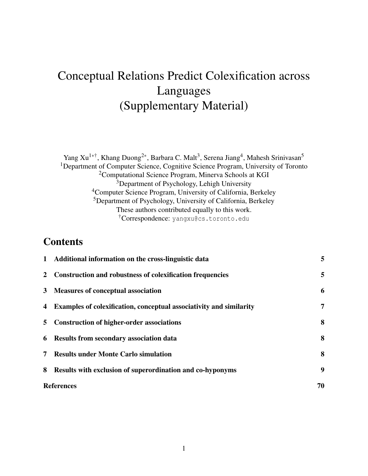# Conceptual Relations Predict Colexification across Languages (Supplementary Material)

Yang Xu<sup>1∗†</sup>, Khang Duong<sup>2∗</sup>, Barbara C. Malt<sup>3</sup>, Serena Jiang<sup>4</sup>, Mahesh Srinivasan<sup>5</sup> <sup>1</sup>Department of Computer Science, Cognitive Science Program, University of Toronto <sup>2</sup>Computational Science Program, Minerva Schools at KGI <sup>3</sup>Department of Psychology, Lehigh University <sup>4</sup>Computer Science Program, University of California, Berkeley <sup>5</sup>Department of Psychology, University of California, Berkeley These authors contributed equally to this work. †Correspondence: yangxu@cs.toronto.edu

### **Contents**

|                | 1 Additional information on the cross-linguistic data               | 5  |
|----------------|---------------------------------------------------------------------|----|
|                | 2 Construction and robustness of colexification frequencies         | 5  |
|                | 3 Measures of conceptual association                                | 6  |
| $\overline{4}$ | Examples of colexification, conceptual associativity and similarity | 7  |
| 5 <sub>5</sub> | <b>Construction of higher-order associations</b>                    | 8  |
|                | 6 Results from secondary association data                           | 8  |
| 7              | <b>Results under Monte Carlo simulation</b>                         | 8  |
| 8              | <b>Results with exclusion of superordination and co-hyponyms</b>    | 9  |
|                | <b>References</b>                                                   | 70 |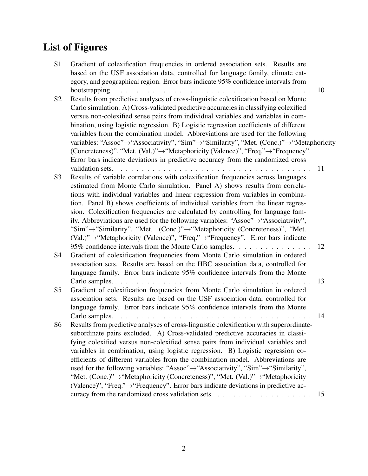# List of Figures

| S <sub>1</sub> | Gradient of colexification frequencies in ordered association sets. Results are<br>based on the USF association data, controlled for language family, climate cat-                  |    |
|----------------|-------------------------------------------------------------------------------------------------------------------------------------------------------------------------------------|----|
|                |                                                                                                                                                                                     |    |
|                | egory, and geographical region. Error bars indicate 95% confidence intervals from                                                                                                   | 10 |
|                | Results from predictive analyses of cross-linguistic colexification based on Monte                                                                                                  |    |
| S <sub>2</sub> |                                                                                                                                                                                     |    |
|                | Carlo simulation. A) Cross-validated predictive accuracies in classifying colexified                                                                                                |    |
|                | versus non-colexified sense pairs from individual variables and variables in com-                                                                                                   |    |
|                | bination, using logistic regression. B) Logistic regression coefficients of different                                                                                               |    |
|                | variables from the combination model. Abbreviations are used for the following                                                                                                      |    |
|                | variables: "Assoc"→ "Associativity", "Sim"→ "Similarity", "Met. (Conc.)"→ "Metaphoricity                                                                                            |    |
|                | (Concreteness)", "Met. (Val.)"→ "Metaphoricity (Valence)", "Freq."→ "Frequency".                                                                                                    |    |
|                | Error bars indicate deviations in predictive accuracy from the randomized cross                                                                                                     |    |
|                | validation sets.                                                                                                                                                                    | 11 |
| S3             | Results of variable correlations with colexification frequencies across languages                                                                                                   |    |
|                | estimated from Monte Carlo simulation. Panel A) shows results from correla-                                                                                                         |    |
|                | tions with individual variables and linear regression from variables in combina-                                                                                                    |    |
|                | tion. Panel B) shows coefficients of individual variables from the linear regres-                                                                                                   |    |
|                | sion. Colexification frequencies are calculated by controlling for language fam-<br>ily. Abbreviations are used for the following variables: "Assoc" $\rightarrow$ "Associativity", |    |
|                | "Sim"->"Similarity", "Met. (Conc.)"->"Metaphoricity (Concreteness)", "Met.                                                                                                          |    |
|                | (Val.)"→"Metaphoricity (Valence)", "Freq."→"Frequency". Error bars indicate                                                                                                         |    |
|                | 95% confidence intervals from the Monte Carlo samples.                                                                                                                              | 12 |
| S4             | Gradient of colexification frequencies from Monte Carlo simulation in ordered                                                                                                       |    |
|                | association sets. Results are based on the HBC association data, controlled for                                                                                                     |    |
|                | language family. Error bars indicate 95% confidence intervals from the Monte                                                                                                        |    |
|                |                                                                                                                                                                                     | 13 |
| S5             | Gradient of colexification frequencies from Monte Carlo simulation in ordered                                                                                                       |    |
|                | association sets. Results are based on the USF association data, controlled for                                                                                                     |    |
|                | language family. Error bars indicate 95% confidence intervals from the Monte                                                                                                        |    |
|                |                                                                                                                                                                                     | 14 |
| S6             | Results from predictive analyses of cross-linguistic colexification with superordinate-                                                                                             |    |
|                | subordinate pairs excluded. A) Cross-validated predictive accuracies in classi-                                                                                                     |    |
|                | fying colexified versus non-colexified sense pairs from individual variables and                                                                                                    |    |
|                | variables in combination, using logistic regression. B) Logistic regression co-                                                                                                     |    |
|                | efficients of different variables from the combination model. Abbreviations are                                                                                                     |    |
|                | used for the following variables: "Assoc" $\rightarrow$ "Associativity", "Sim" $\rightarrow$ "Similarity",                                                                          |    |
|                | "Met. (Conc.)"->"Metaphoricity (Concreteness)", "Met. (Val.)"->"Metaphoricity                                                                                                       |    |
|                | (Valence)", "Freq."->"Frequency". Error bars indicate deviations in predictive ac-                                                                                                  |    |
|                |                                                                                                                                                                                     | 15 |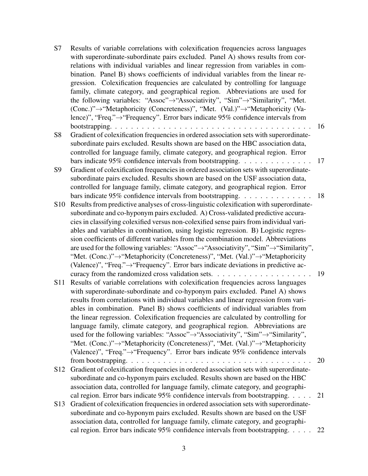| S7              | Results of variable correlations with colexification frequencies across languages<br>with superordinate-subordinate pairs excluded. Panel A) shows results from cor- |    |
|-----------------|----------------------------------------------------------------------------------------------------------------------------------------------------------------------|----|
|                 | relations with individual variables and linear regression from variables in com-                                                                                     |    |
|                 | bination. Panel B) shows coefficients of individual variables from the linear re-                                                                                    |    |
|                 | gression. Colexification frequencies are calculated by controlling for language                                                                                      |    |
|                 | family, climate category, and geographical region. Abbreviations are used for                                                                                        |    |
|                 | the following variables: "Assoc" $\rightarrow$ "Associativity", "Sim" $\rightarrow$ "Similarity", "Met.                                                              |    |
|                 | (Conc.)"→"Metaphoricity (Concreteness)", "Met. (Val.)"→"Metaphoricity (Va-                                                                                           |    |
|                 | lence)", "Freq." $\rightarrow$ "Frequency". Error bars indicate 95% confidence intervals from                                                                        |    |
|                 |                                                                                                                                                                      | 16 |
| S <sub>8</sub>  | Gradient of colexification frequencies in ordered association sets with superordinate-                                                                               |    |
|                 | subordinate pairs excluded. Results shown are based on the HBC association data,                                                                                     |    |
|                 | controlled for language family, climate category, and geographical region. Error                                                                                     |    |
|                 | bars indicate 95% confidence intervals from bootstrapping.                                                                                                           | 17 |
| S <sub>9</sub>  | Gradient of colexification frequencies in ordered association sets with superordinate-                                                                               |    |
|                 | subordinate pairs excluded. Results shown are based on the USF association data,                                                                                     |    |
|                 | controlled for language family, climate category, and geographical region. Error                                                                                     |    |
|                 | bars indicate 95% confidence intervals from bootstrapping.                                                                                                           | 18 |
| S <sub>10</sub> | Results from predictive analyses of cross-linguistic colexification with superordinate-                                                                              |    |
|                 | subordinate and co-hyponym pairs excluded. A) Cross-validated predictive accura-                                                                                     |    |
|                 | cies in classifying colexified versus non-colexified sense pairs from individual vari-                                                                               |    |
|                 | ables and variables in combination, using logistic regression. B) Logistic regres-                                                                                   |    |
|                 | sion coefficients of different variables from the combination model. Abbreviations                                                                                   |    |
|                 | are used for the following variables: "Assoc" $\rightarrow$ "Associativity", "Sim" $\rightarrow$ "Similarity",                                                       |    |
|                 | "Met. (Conc.)"-> "Metaphoricity (Concreteness)", "Met. (Val.)"-> "Metaphoricity                                                                                      |    |
|                 | (Valence)", "Freq." $\rightarrow$ "Frequency". Error bars indicate deviations in predictive ac-                                                                      |    |
|                 | curacy from the randomized cross validation sets. $\dots \dots \dots \dots \dots \dots \dots$                                                                        | 19 |
| <b>S11</b>      | Results of variable correlations with colexification frequencies across languages                                                                                    |    |
|                 | with superordinate-subordinate and co-hyponym pairs excluded. Panel A) shows                                                                                         |    |
|                 | results from correlations with individual variables and linear regression from vari-                                                                                 |    |
|                 | ables in combination. Panel B) shows coefficients of individual variables from                                                                                       |    |
|                 | the linear regression. Colexification frequencies are calculated by controlling for                                                                                  |    |
|                 | language family, climate category, and geographical region. Abbreviations are                                                                                        |    |
|                 | used for the following variables: "Assoc" $\rightarrow$ "Associativity", "Sim" $\rightarrow$ "Similarity",                                                           |    |
|                 | "Met. (Conc.)"->"Metaphoricity (Concreteness)", "Met. (Val.)"->"Metaphoricity                                                                                        |    |
|                 | (Valence)", "Freq."→ "Frequency". Error bars indicate 95% confidence intervals                                                                                       |    |
|                 |                                                                                                                                                                      | 20 |
| S <sub>12</sub> | Gradient of colexification frequencies in ordered association sets with superordinate-                                                                               |    |
|                 | subordinate and co-hyponym pairs excluded. Results shown are based on the HBC                                                                                        |    |
|                 | association data, controlled for language family, climate category, and geographi-                                                                                   |    |
|                 | cal region. Error bars indicate 95% confidence intervals from bootstrapping.                                                                                         | 21 |
| S <sub>13</sub> | Gradient of colexification frequencies in ordered association sets with superordinate-                                                                               |    |
|                 | subordinate and co-hyponym pairs excluded. Results shown are based on the USF                                                                                        |    |
|                 | association data, controlled for language family, climate category, and geographi-                                                                                   |    |
|                 | cal region. Error bars indicate 95% confidence intervals from bootstrapping.                                                                                         | 22 |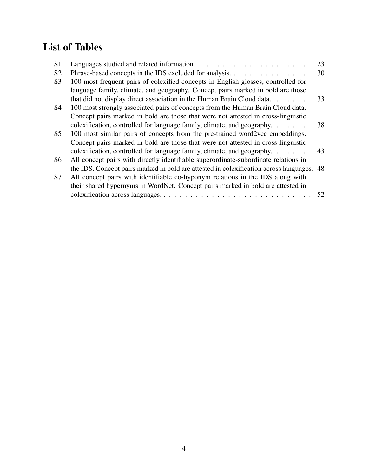# List of Tables

| S <sub>1</sub> |                                                                                                                                                                      | 23 |
|----------------|----------------------------------------------------------------------------------------------------------------------------------------------------------------------|----|
| S <sub>2</sub> | Phrase-based concepts in the IDS excluded for analysis. 30                                                                                                           |    |
| S <sub>3</sub> | 100 most frequent pairs of colexified concepts in English glosses, controlled for<br>language family, climate, and geography. Concept pairs marked in bold are those |    |
|                | that did not display direct association in the Human Brain Cloud data. 33                                                                                            |    |
| S <sub>4</sub> | 100 most strongly associated pairs of concepts from the Human Brain Cloud data.                                                                                      |    |
|                | Concept pairs marked in bold are those that were not attested in cross-linguistic                                                                                    |    |
|                | colexification, controlled for language family, climate, and geography. $\dots \dots$ 38                                                                             |    |
| S <sub>5</sub> | 100 most similar pairs of concepts from the pre-trained word2vec embeddings.                                                                                         |    |
|                | Concept pairs marked in bold are those that were not attested in cross-linguistic                                                                                    |    |
|                | colexification, controlled for language family, climate, and geography. $\dots \dots$ . 43                                                                           |    |
| S <sub>6</sub> | All concept pairs with directly identifiable superordinate-subordinate relations in                                                                                  |    |
|                | the IDS. Concept pairs marked in bold are attested in colexification across languages. 48                                                                            |    |
| S7             | All concept pairs with identifiable co-hyponym relations in the IDS along with                                                                                       |    |
|                | their shared hypernyms in WordNet. Concept pairs marked in bold are attested in                                                                                      |    |
|                |                                                                                                                                                                      | 52 |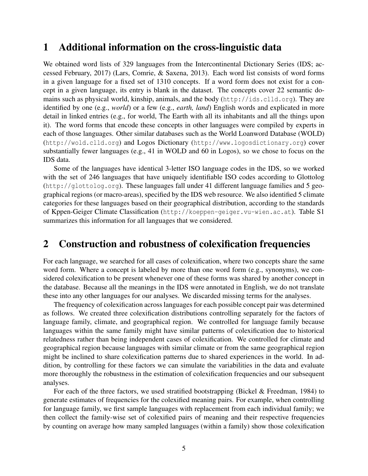### 1 Additional information on the cross-linguistic data

We obtained word lists of 329 languages from the Intercontinental Dictionary Series (IDS; accessed February, 2017) (Lars, Comrie, & Saxena, 2013). Each word list consists of word forms in a given language for a fixed set of 1310 concepts. If a word form does not exist for a concept in a given language, its entry is blank in the dataset. The concepts cover 22 semantic domains such as physical world, kinship, animals, and the body (http://ids.clld.org). They are identified by one (e.g., *world*) or a few (e.g., *earth, land*) English words and explicated in more detail in linked entries (e.g., for world, The Earth with all its inhabitants and all the things upon it). The word forms that encode these concepts in other languages were compiled by experts in each of those languages. Other similar databases such as the World Loanword Database (WOLD) (http://wold.clld.org) and Logos Dictionary (http://www.logosdictionary.org) cover substantially fewer languages (e.g., 41 in WOLD and 60 in Logos), so we chose to focus on the IDS data.

Some of the languages have identical 3-letter ISO language codes in the IDS, so we worked with the set of 246 languages that have uniquely identifiable ISO codes according to Glottolog (http://glottolog.org). These languages fall under 41 different language families and 5 geographical regions (or macro-areas), specified by the IDS web resource. We also identified 5 climate categories for these languages based on their geographical distribution, according to the standards of Kppen-Geiger Climate Classification (http://koeppen-geiger.vu-wien.ac.at). Table S1 summarizes this information for all languages that we considered.

### 2 Construction and robustness of colexification frequencies

For each language, we searched for all cases of colexification, where two concepts share the same word form. Where a concept is labeled by more than one word form (e.g., synonyms), we considered colexification to be present whenever one of these forms was shared by another concept in the database. Because all the meanings in the IDS were annotated in English, we do not translate these into any other languages for our analyses. We discarded missing terms for the analyses.

The frequency of colexification across languages for each possible concept pair was determined as follows. We created three colexification distributions controlling separately for the factors of language family, climate, and geographical region. We controlled for language family because languages within the same family might have similar patterns of colexification due to historical relatedness rather than being independent cases of colexification. We controlled for climate and geographical region because languages with similar climate or from the same geographical region might be inclined to share colexification patterns due to shared experiences in the world. In addition, by controlling for these factors we can simulate the variabilities in the data and evaluate more thoroughly the robustness in the estimation of colexification frequencies and our subsequent analyses.

For each of the three factors, we used stratified bootstrapping (Bickel & Freedman, 1984) to generate estimates of frequencies for the colexified meaning pairs. For example, when controlling for language family, we first sample languages with replacement from each individual family; we then collect the family-wise set of colexified pairs of meaning and their respective frequencies by counting on average how many sampled languages (within a family) show those colexification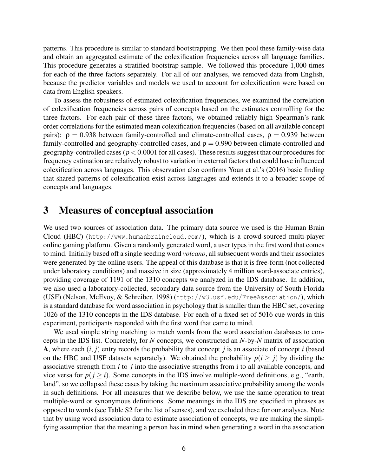patterns. This procedure is similar to standard bootstrapping. We then pool these family-wise data and obtain an aggregated estimate of the colexification frequencies across all language families. This procedure generates a stratified bootstrap sample. We followed this procedure 1,000 times for each of the three factors separately. For all of our analyses, we removed data from English, because the predictor variables and models we used to account for colexification were based on data from English speakers.

To assess the robustness of estimated colexification frequencies, we examined the correlation of colexification frequencies across pairs of concepts based on the estimates controlling for the three factors. For each pair of these three factors, we obtained reliably high Spearman's rank order correlations for the estimated mean colexification frequencies (based on all available concept pairs):  $\rho = 0.938$  between family-controlled and climate-controlled cases,  $\rho = 0.939$  between family-controlled and geography-controlled cases, and  $\rho = 0.990$  between climate-controlled and geography-controlled cases (*p* < 0.0001 for all cases). These results suggest that our procedures for frequency estimation are relatively robust to variation in external factors that could have influenced colexification across languages. This observation also confirms Youn et al.'s (2016) basic finding that shared patterns of colexification exist across languages and extends it to a broader scope of concepts and languages.

#### 3 Measures of conceptual association

We used two sources of association data. The primary data source we used is the Human Brain Cloud (HBC) (http://www.humanbraincloud.com/), which is a crowd-sourced multi-player online gaming platform. Given a randomly generated word, a user types in the first word that comes to mind. Initially based off a single seeding word *volcano*, all subsequent words and their associates were generated by the online users. The appeal of this database is that it is free-form (not collected under laboratory conditions) and massive in size (approximately 4 million word-associate entries), providing coverage of 1191 of the 1310 concepts we analyzed in the IDS database. In addition, we also used a laboratory-collected, secondary data source from the University of South Florida (USF) (Nelson, McEvoy, & Schreiber, 1998) (http://w3.usf.edu/FreeAssociation/), which is a standard database for word association in psychology that is smaller than the HBC set, covering 1026 of the 1310 concepts in the IDS database. For each of a fixed set of 5016 cue words in this experiment, participants responded with the first word that came to mind.

We used simple string matching to match words from the word association databases to concepts in the IDS list. Concretely, for *N* concepts, we constructed an *N*-by-*N* matrix of association A, where each  $(i, j)$  entry records the probability that concept *j* is an associate of concept *i* (based on the HBC and USF datasets separately). We obtained the probability  $p(i \geq j)$  by dividing the associative strength from *i* to *j* into the associative strengths from i to all available concepts, and vice versa for  $p(i \geq i)$ . Some concepts in the IDS involve multiple-word definitions, e.g., "earth, land", so we collapsed these cases by taking the maximum associative probability among the words in such definitions. For all measures that we describe below, we use the same operation to treat multiple-word or synonymous definitions. Some meanings in the IDS are specified in phrases as opposed to words (see Table S2 for the list of senses), and we excluded these for our analyses. Note that by using word association data to estimate association of concepts, we are making the simplifying assumption that the meaning a person has in mind when generating a word in the association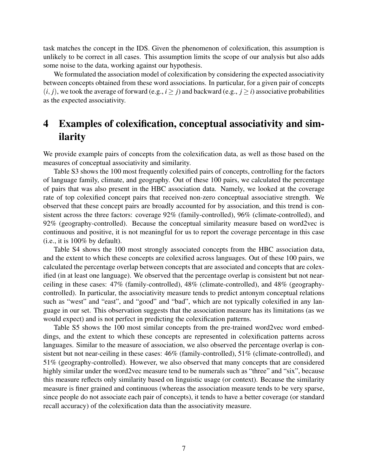task matches the concept in the IDS. Given the phenomenon of colexification, this assumption is unlikely to be correct in all cases. This assumption limits the scope of our analysis but also adds some noise to the data, working against our hypothesis.

We formulated the association model of colexification by considering the expected associativity between concepts obtained from these word associations. In particular, for a given pair of concepts  $(i, j)$ , we took the average of forward (e.g.,  $i \ge j$ ) and backward (e.g.,  $j \ge i$ ) associative probabilities as the expected associativity.

## 4 Examples of colexification, conceptual associativity and similarity

We provide example pairs of concepts from the colexification data, as well as those based on the measures of conceptual associativity and similarity.

Table S3 shows the 100 most frequently colexified pairs of concepts, controlling for the factors of language family, climate, and geography. Out of these 100 pairs, we calculated the percentage of pairs that was also present in the HBC association data. Namely, we looked at the coverage rate of top colexified concept pairs that received non-zero conceptual associative strength. We observed that these concept pairs are broadly accounted for by association, and this trend is consistent across the three factors: coverage 92% (family-controlled), 96% (climate-controlled), and 92% (geography-controlled). Because the conceptual similarity measure based on word2vec is continuous and positive, it is not meaningful for us to report the coverage percentage in this case (i.e., it is 100% by default).

Table S4 shows the 100 most strongly associated concepts from the HBC association data, and the extent to which these concepts are colexified across languages. Out of these 100 pairs, we calculated the percentage overlap between concepts that are associated and concepts that are colexified (in at least one language). We observed that the percentage overlap is consistent but not nearceiling in these cases: 47% (family-controlled), 48% (climate-controlled), and 48% (geographycontrolled). In particular, the associativity measure tends to predict antonym conceptual relations such as "west" and "east", and "good" and "bad", which are not typically colexified in any language in our set. This observation suggests that the association measure has its limitations (as we would expect) and is not perfect in predicting the colexification patterns.

Table S5 shows the 100 most similar concepts from the pre-trained word2vec word embeddings, and the extent to which these concepts are represented in colexification patterns across languages. Similar to the measure of association, we also observed the percentage overlap is consistent but not near-ceiling in these cases: 46% (family-controlled), 51% (climate-controlled), and 51% (geography-controlled). However, we also observed that many concepts that are considered highly similar under the word2vec measure tend to be numerals such as "three" and "six", because this measure reflects only similarity based on linguistic usage (or context). Because the similarity measure is finer grained and continuous (whereas the association measure tends to be very sparse, since people do not associate each pair of concepts), it tends to have a better coverage (or standard recall accuracy) of the colexification data than the associativity measure.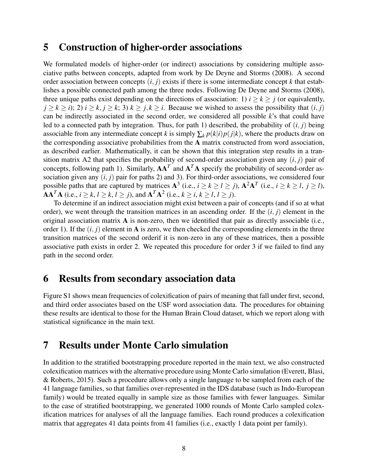### 5 Construction of higher-order associations

We formulated models of higher-order (or indirect) associations by considering multiple associative paths between concepts, adapted from work by De Deyne and Storms (2008). A second order association between concepts  $(i, j)$  exists if there is some intermediate concept  $k$  that establishes a possible connected path among the three nodes. Following De Deyne and Storms (2008), three unique paths exist depending on the directions of association: 1)  $i \ge k \ge j$  (or equivalently,  $j \geq k \geq i$ ; 2)  $i \geq k$ ,  $j \geq k$ ; 3)  $k \geq j$ ,  $k \geq i$ . Because we wished to assess the possibility that  $(i, j)$ can be indirectly associated in the second order, we considered all possible *k*'s that could have led to a connected path by integration. Thus, for path 1) described, the probability of (*i*, *j*) being associable from any intermediate concept *k* is simply  $\sum_k p(k|i)p(j|k)$ , where the products draw on the corresponding associative probabilities from the A matrix constructed from word association, as described earlier. Mathematically, it can be shown that this integration step results in a transition matrix A2 that specifies the probability of second-order association given any (*i*, *j*) pair of concepts, following path 1). Similarly,  $AA<sup>T</sup>$  and  $A<sup>T</sup>A$  specify the probability of second-order association given any  $(i, j)$  pair for paths 2) and 3). For third-order associations, we considered four possible paths that are captured by matrices  $A^3$  (i.e.,  $i \ge k \ge l \ge j$ ),  $A^2A^T$  (i.e.,  $i \ge k \ge l$ ,  $j \ge l$ ),  $A A^T A$  (i.e.,  $i \ge k, l \ge k, l \ge j$ ), and  $A^T A^2$  (i.e.,  $k \ge i, k \ge l, l \ge j$ ).

To determine if an indirect association might exist between a pair of concepts (and if so at what order), we went through the transition matrices in an ascending order. If the  $(i, j)$  element in the original association matrix  $A$  is non-zero, then we identified that pair as directly associable (i.e., order 1). If the  $(i, j)$  element in **A** is zero, we then checked the corresponding elements in the three transition matrices of the second orderif it is non-zero in any of these matrices, then a possible associative path exists in order 2. We repeated this procedure for order 3 if we failed to find any path in the second order.

### 6 Results from secondary association data

Figure S1 shows mean frequencies of colexification of pairs of meaning that fall under first, second, and third order associates based on the USF word association data. The procedures for obtaining these results are identical to those for the Human Brain Cloud dataset, which we report along with statistical significance in the main text.

## 7 Results under Monte Carlo simulation

In addition to the stratified bootstrapping procedure reported in the main text, we also constructed colexification matrices with the alternative procedure using Monte Carlo simulation (Everett, Blasi, & Roberts, 2015). Such a procedure allows only a single language to be sampled from each of the 41 language families, so that families over-represented in the IDS database (such as Indo-European family) would be treated equally in sample size as those families with fewer languages. Similar to the case of stratified bootstrapping, we generated 1000 rounds of Monte Carlo sampled colexification matrices for analyses of all the language families. Each round produces a colexification matrix that aggregates 41 data points from 41 families (i.e., exactly 1 data point per family).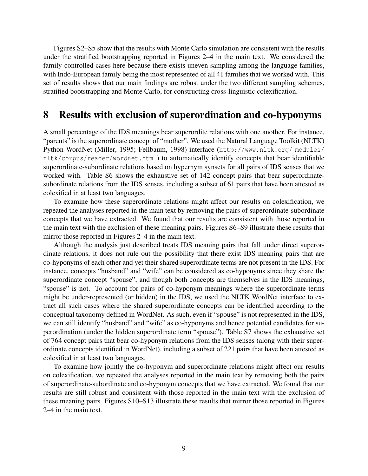Figures S2–S5 show that the results with Monte Carlo simulation are consistent with the results under the stratified bootstrapping reported in Figures 2–4 in the main text. We considered the family-controlled cases here because there exists uneven sampling among the language families, with Indo-European family being the most represented of all 41 families that we worked with. This set of results shows that our main findings are robust under the two different sampling schemes, stratified bootstrapping and Monte Carlo, for constructing cross-linguistic colexification.

#### 8 Results with exclusion of superordination and co-hyponyms

A small percentage of the IDS meanings bear superordite relations with one another. For instance, "parents" is the superordinate concept of "mother". We used the Natural Language Toolkit (NLTK) Python WordNet (Miller, 1995; Fellbaum, 1998) interface (http://www.nltk.org/ modules/ nltk/corpus/reader/wordnet.html) to automatically identify concepts that bear identifiable superordinate-subordinate relations based on hypernym synsets for all pairs of IDS senses that we worked with. Table S6 shows the exhaustive set of 142 concept pairs that bear superordinatesubordinate relations from the IDS senses, including a subset of 61 pairs that have been attested as colexified in at least two languages.

To examine how these superordinate relations might affect our results on colexification, we repeated the analyses reported in the main text by removing the pairs of superordinate-subordinate concepts that we have extracted. We found that our results are consistent with those reported in the main text with the exclusion of these meaning pairs. Figures S6–S9 illustrate these results that mirror those reported in Figures 2–4 in the main text.

Although the analysis just described treats IDS meaning pairs that fall under direct superordinate relations, it does not rule out the possibility that there exist IDS meaning pairs that are co-hyponyms of each other and yet their shared superordinate terms are not present in the IDS. For instance, concepts "husband" and "wife" can be considered as co-hyponyms since they share the superordinate concept "spouse", and though both concepts are themselves in the IDS meanings, "spouse" is not. To account for pairs of co-hyponym meanings where the superordinate terms might be under-represented (or hidden) in the IDS, we used the NLTK WordNet interface to extract all such cases where the shared superordinate concepts can be identified according to the conceptual taxonomy defined in WordNet. As such, even if "spouse" is not represented in the IDS, we can still identify "husband" and "wife" as co-hyponyms and hence potential candidates for superordination (under the hidden superordinate term "spouse"). Table S7 shows the exhaustive set of 764 concept pairs that bear co-hyponym relations from the IDS senses (along with their superordinate concepts identified in WordNet), including a subset of 221 pairs that have been attested as colexified in at least two languages.

To examine how jointly the co-hyponym and superordinate relations might affect our results on colexification, we repeated the analyses reported in the main text by removing both the pairs of superordinate-subordinate and co-hyponym concepts that we have extracted. We found that our results are still robust and consistent with those reported in the main text with the exclusion of these meaning pairs. Figures S10–S13 illustrate these results that mirror those reported in Figures 2–4 in the main text.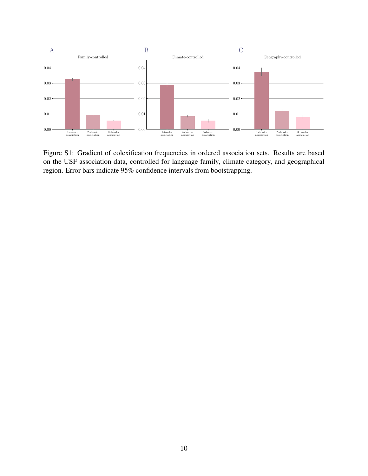

Figure S1: Gradient of colexification frequencies in ordered association sets. Results are based on the USF association data, controlled for language family, climate category, and geographical region. Error bars indicate 95% confidence intervals from bootstrapping.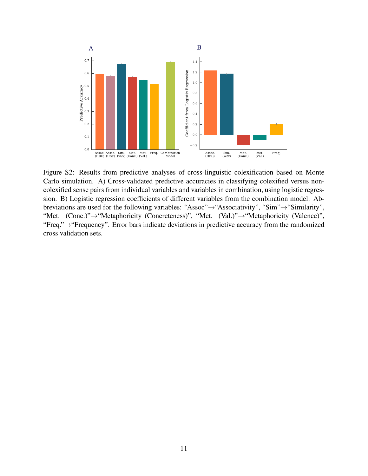

Figure S2: Results from predictive analyses of cross-linguistic colexification based on Monte Carlo simulation. A) Cross-validated predictive accuracies in classifying colexified versus noncolexified sense pairs from individual variables and variables in combination, using logistic regression. B) Logistic regression coefficients of different variables from the combination model. Abbreviations are used for the following variables: "Assoc"→"Associativity", "Sim"→"Similarity", "Met. (Conc.)"→"Metaphoricity (Concreteness)", "Met. (Val.)"→"Metaphoricity (Valence)", "Freq."→"Frequency". Error bars indicate deviations in predictive accuracy from the randomized cross validation sets.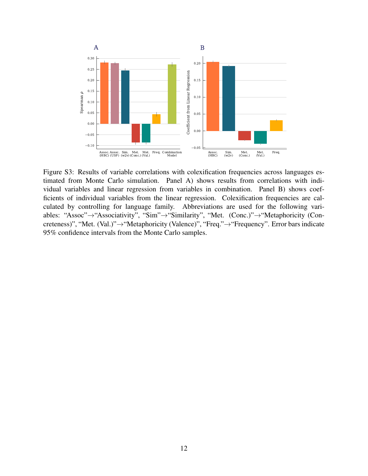

Figure S3: Results of variable correlations with colexification frequencies across languages estimated from Monte Carlo simulation. Panel A) shows results from correlations with individual variables and linear regression from variables in combination. Panel B) shows coefficients of individual variables from the linear regression. Colexification frequencies are calculated by controlling for language family. Abbreviations are used for the following variables: "Assoc"→"Associativity", "Sim"→"Similarity", "Met. (Conc.)"→"Metaphoricity (Concreteness)", "Met. (Val.)"→"Metaphoricity (Valence)", "Freq."→"Frequency". Error bars indicate 95% confidence intervals from the Monte Carlo samples.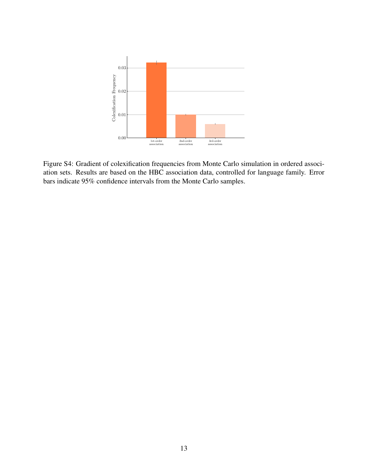

Figure S4: Gradient of colexification frequencies from Monte Carlo simulation in ordered association sets. Results are based on the HBC association data, controlled for language family. Error bars indicate 95% confidence intervals from the Monte Carlo samples.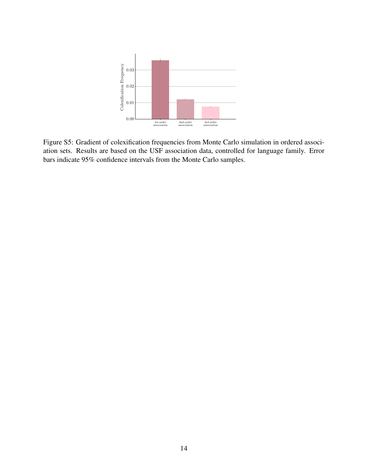

Figure S5: Gradient of colexification frequencies from Monte Carlo simulation in ordered association sets. Results are based on the USF association data, controlled for language family. Error bars indicate 95% confidence intervals from the Monte Carlo samples.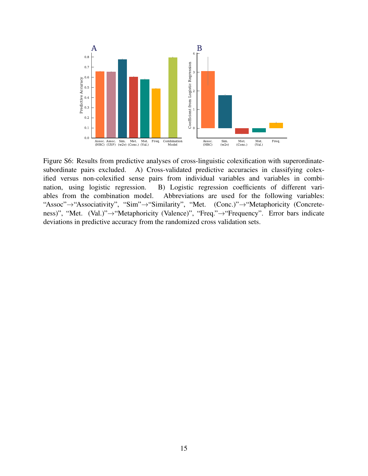

Figure S6: Results from predictive analyses of cross-linguistic colexification with superordinatesubordinate pairs excluded. A) Cross-validated predictive accuracies in classifying colexified versus non-colexified sense pairs from individual variables and variables in combination, using logistic regression. B) Logistic regression coefficients of different variables from the combination model. Abbreviations are used for the following variables: "Assoc"→"Associativity", "Sim"→"Similarity", "Met. (Conc.)"→"Metaphoricity (Concreteness)", "Met. (Val.)"→"Metaphoricity (Valence)", "Freq."→"Frequency". Error bars indicate deviations in predictive accuracy from the randomized cross validation sets.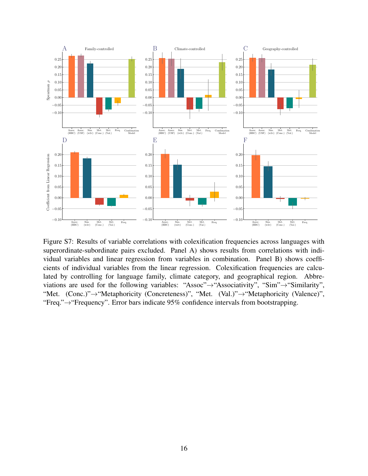

Figure S7: Results of variable correlations with colexification frequencies across languages with superordinate-subordinate pairs excluded. Panel A) shows results from correlations with individual variables and linear regression from variables in combination. Panel B) shows coefficients of individual variables from the linear regression. Colexification frequencies are calculated by controlling for language family, climate category, and geographical region. Abbreviations are used for the following variables: "Assoc"→"Associativity", "Sim"→"Similarity", "Met. (Conc.)"→"Metaphoricity (Concreteness)", "Met. (Val.)"→"Metaphoricity (Valence)", "Freq."→"Frequency". Error bars indicate 95% confidence intervals from bootstrapping.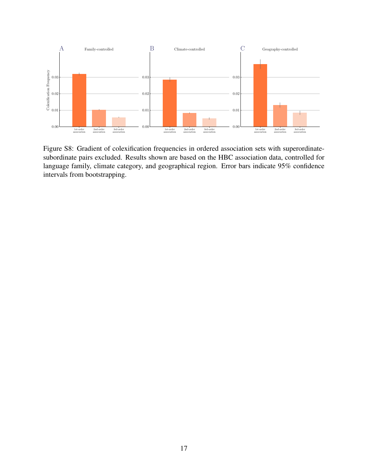

Figure S8: Gradient of colexification frequencies in ordered association sets with superordinatesubordinate pairs excluded. Results shown are based on the HBC association data, controlled for language family, climate category, and geographical region. Error bars indicate 95% confidence intervals from bootstrapping.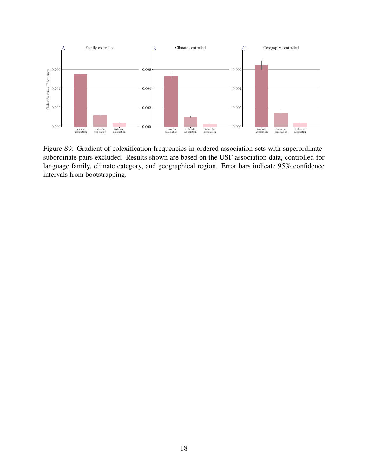

Figure S9: Gradient of colexification frequencies in ordered association sets with superordinatesubordinate pairs excluded. Results shown are based on the USF association data, controlled for language family, climate category, and geographical region. Error bars indicate 95% confidence intervals from bootstrapping.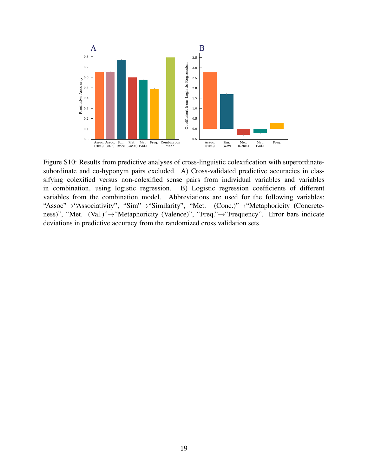

Figure S10: Results from predictive analyses of cross-linguistic colexification with superordinatesubordinate and co-hyponym pairs excluded. A) Cross-validated predictive accuracies in classifying colexified versus non-colexified sense pairs from individual variables and variables in combination, using logistic regression. B) Logistic regression coefficients of different variables from the combination model. Abbreviations are used for the following variables: "Assoc"→"Associativity", "Sim"→"Similarity", "Met. (Conc.)"→"Metaphoricity (Concreteness)", "Met. (Val.)"→"Metaphoricity (Valence)", "Freq."→"Frequency". Error bars indicate deviations in predictive accuracy from the randomized cross validation sets.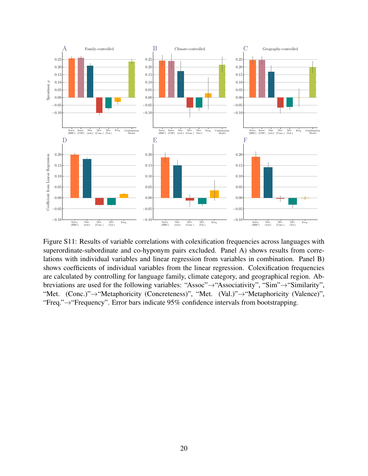

Figure S11: Results of variable correlations with colexification frequencies across languages with superordinate-subordinate and co-hyponym pairs excluded. Panel A) shows results from correlations with individual variables and linear regression from variables in combination. Panel B) shows coefficients of individual variables from the linear regression. Colexification frequencies are calculated by controlling for language family, climate category, and geographical region. Abbreviations are used for the following variables: "Assoc"→"Associativity", "Sim"→"Similarity", "Met. (Conc.)"→"Metaphoricity (Concreteness)", "Met. (Val.)"→"Metaphoricity (Valence)", "Freq."→"Frequency". Error bars indicate 95% confidence intervals from bootstrapping.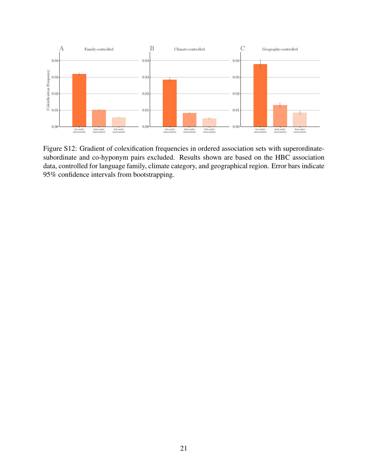

Figure S12: Gradient of colexification frequencies in ordered association sets with superordinatesubordinate and co-hyponym pairs excluded. Results shown are based on the HBC association data, controlled for language family, climate category, and geographical region. Error bars indicate 95% confidence intervals from bootstrapping.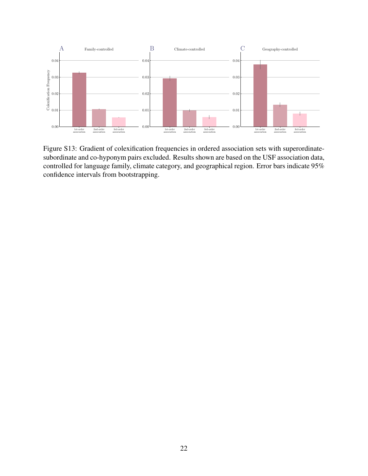

Figure S13: Gradient of colexification frequencies in ordered association sets with superordinatesubordinate and co-hyponym pairs excluded. Results shown are based on the USF association data, controlled for language family, climate category, and geographical region. Error bars indicate 95% confidence intervals from bootstrapping.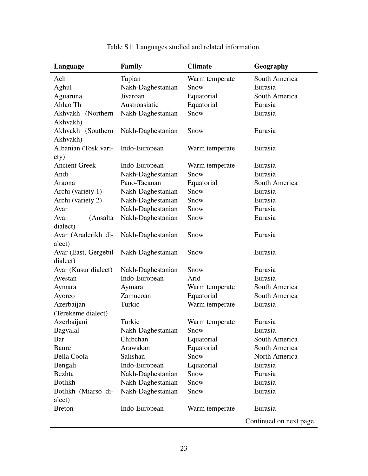| Language             | Family            | <b>Climate</b> | Geography              |
|----------------------|-------------------|----------------|------------------------|
| Ach                  | Tupian            | Warm temperate | South America          |
| Aghul                | Nakh-Daghestanian | Snow           | Eurasia                |
| Aguaruna             | Jivaroan          | Equatorial     | South America          |
| Ahlao Th             | Austroasiatic     | Equatorial     | Eurasia                |
| Akhvakh (Northern    | Nakh-Daghestanian | Snow           | Eurasia                |
| Akhvakh)             |                   |                |                        |
| Akhvakh (Southern    | Nakh-Daghestanian | Snow           | Eurasia                |
| Akhvakh)             |                   |                |                        |
| Albanian (Tosk vari- | Indo-European     | Warm temperate | Eurasia                |
| ety)                 |                   |                |                        |
| <b>Ancient Greek</b> | Indo-European     | Warm temperate | Eurasia                |
| Andi                 | Nakh-Daghestanian | Snow           | Eurasia                |
| Araona               | Pano-Tacanan      | Equatorial     | South America          |
| Archi (variety 1)    | Nakh-Daghestanian | Snow           | Eurasia                |
| Archi (variety 2)    | Nakh-Daghestanian | Snow           | Eurasia                |
| Avar                 | Nakh-Daghestanian | Snow           | Eurasia                |
| (Ansalta<br>Avar     | Nakh-Daghestanian | Snow           | Eurasia                |
| dialect)             |                   |                |                        |
| Avar (Araderikh di-  | Nakh-Daghestanian | Snow           | Eurasia                |
| alect)               |                   |                |                        |
| Avar (East, Gergebil | Nakh-Daghestanian | Snow           | Eurasia                |
| dialect)             |                   |                |                        |
| Avar (Kusur dialect) | Nakh-Daghestanian | Snow           | Eurasia                |
| Avestan              | Indo-European     | Arid           | Eurasia                |
| Aymara               | Aymara            | Warm temperate | South America          |
| Ayoreo               | Zamucoan          | Equatorial     | South America          |
| Azerbaijan           | Turkic            | Warm temperate | Eurasia                |
| (Terekeme dialect)   |                   |                |                        |
| Azerbaijani          | Turkic            | Warm temperate | Eurasia                |
| Bagvalal             | Nakh-Daghestanian | Snow           | Eurasia                |
| Bar                  | Chibchan          | Equatorial     | South America          |
| Baure                | Arawakan          | Equatorial     | South America          |
| Bella Coola          | Salishan          | Snow           | North America          |
| Bengali              | Indo-European     | Equatorial     | Eurasia                |
| <b>Bezhta</b>        | Nakh-Daghestanian | Snow           | Eurasia                |
| <b>Botlikh</b>       | Nakh-Daghestanian | Snow           | Eurasia                |
| Botlikh (Miarso di-  | Nakh-Daghestanian | Snow           | Eurasia                |
| alect)               |                   |                |                        |
| <b>Breton</b>        | Indo-European     | Warm temperate | Eurasia                |
|                      |                   |                | Continued on next page |

Table S1: Languages studied and related information.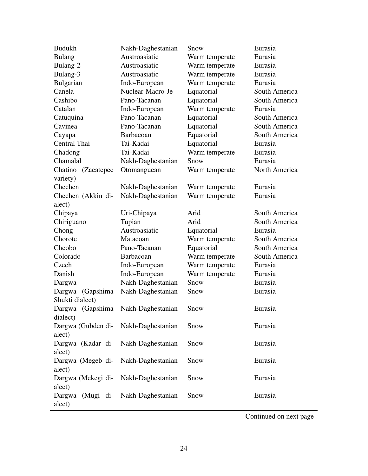| <b>Budukh</b>                        | Nakh-Daghestanian | Snow           | Eurasia       |
|--------------------------------------|-------------------|----------------|---------------|
| <b>Bulang</b>                        | Austroasiatic     | Warm temperate | Eurasia       |
| Bulang-2                             | Austroasiatic     | Warm temperate | Eurasia       |
| Bulang-3                             | Austroasiatic     | Warm temperate | Eurasia       |
| Bulgarian                            | Indo-European     | Warm temperate | Eurasia       |
| Canela                               | Nuclear-Macro-Je  | Equatorial     | South America |
| Cashibo                              | Pano-Tacanan      | Equatorial     | South America |
| Catalan                              | Indo-European     | Warm temperate | Eurasia       |
| Catuquina                            | Pano-Tacanan      | Equatorial     | South America |
| Cavinea                              | Pano-Tacanan      | Equatorial     | South America |
| Cayapa                               | Barbacoan         | Equatorial     | South America |
| Central Thai                         | Tai-Kadai         | Equatorial     | Eurasia       |
| Chadong                              | Tai-Kadai         | Warm temperate | Eurasia       |
| Chamalal                             | Nakh-Daghestanian | Snow           | Eurasia       |
| Chatino (Zacatepec                   | Otomanguean       | Warm temperate | North America |
| variety)                             |                   |                |               |
| Chechen                              | Nakh-Daghestanian | Warm temperate | Eurasia       |
| Chechen (Akkin di-                   | Nakh-Daghestanian | Warm temperate | Eurasia       |
| alect)                               |                   |                |               |
| Chipaya                              | Uri-Chipaya       | Arid           | South America |
| Chiriguano                           | Tupian            | Arid           | South America |
| Chong                                | Austroasiatic     | Equatorial     | Eurasia       |
| Chorote                              | Matacoan          | Warm temperate | South America |
| Chcobo                               | Pano-Tacanan      | Equatorial     | South America |
| Colorado                             | Barbacoan         | Warm temperate | South America |
| Czech                                | Indo-European     | Warm temperate | Eurasia       |
| Danish                               | Indo-European     | Warm temperate | Eurasia       |
| Dargwa                               | Nakh-Daghestanian | Snow           | Eurasia       |
| Dargwa<br>(Gapshima                  | Nakh-Daghestanian | Snow           | Eurasia       |
| Shukti dialect)                      |                   |                |               |
| Dargwa (Gapshima                     | Nakh-Daghestanian | Snow           | Eurasia       |
| dialect)                             |                   |                |               |
| Dargwa (Gubden di- Nakh-Daghestanian |                   | Snow           | Eurasia       |
| alect)                               |                   |                |               |
| Dargwa (Kadar di-                    | Nakh-Daghestanian | Snow           | Eurasia       |
| alect)                               |                   |                |               |
| Dargwa (Megeb di-                    | Nakh-Daghestanian | Snow           | Eurasia       |
| alect)                               |                   |                |               |
| Dargwa (Mekegi di-                   | Nakh-Daghestanian | Snow           | Eurasia       |
| alect)                               |                   |                |               |
| Dargwa (Mugi di- Nakh-Daghestanian   |                   | Snow           | Eurasia       |
| alect)                               |                   |                |               |
|                                      |                   |                |               |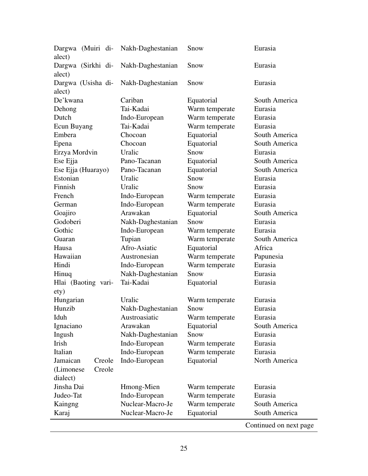| Dargwa (Muiri di-<br>alect)  | Nakh-Daghestanian | Snow           | Eurasia                |
|------------------------------|-------------------|----------------|------------------------|
| Dargwa (Sirkhi di-<br>alect) | Nakh-Daghestanian | Snow           | Eurasia                |
| Dargwa (Usisha di-<br>alect) | Nakh-Daghestanian | Snow           | Eurasia                |
| De'kwana                     | Cariban           | Equatorial     | South America          |
| Dehong                       | Tai-Kadai         | Warm temperate | Eurasia                |
| Dutch                        | Indo-European     | Warm temperate | Eurasia                |
| Ecun Buyang                  | Tai-Kadai         | Warm temperate | Eurasia                |
| Embera                       | Chocoan           | Equatorial     | South America          |
| Epena                        | Chocoan           | Equatorial     | South America          |
| Erzya Mordvin                | Uralic            | Snow           | Eurasia                |
| Ese Ejja                     | Pano-Tacanan      | Equatorial     | South America          |
| Ese Ejja (Huarayo)           | Pano-Tacanan      | Equatorial     | South America          |
| Estonian                     | Uralic            | Snow           | Eurasia                |
| Finnish                      | Uralic            | Snow           | Eurasia                |
| French                       | Indo-European     | Warm temperate | Eurasia                |
| German                       | Indo-European     | Warm temperate | Eurasia                |
| Goajiro                      | Arawakan          | Equatorial     | South America          |
| Godoberi                     | Nakh-Daghestanian | Snow           | Eurasia                |
| Gothic                       | Indo-European     | Warm temperate | Eurasia                |
| Guaran                       | Tupian            | Warm temperate | South America          |
| Hausa                        | Afro-Asiatic      | Equatorial     | Africa                 |
| Hawaiian                     | Austronesian      | Warm temperate | Papunesia              |
| Hindi                        | Indo-European     | Warm temperate | Eurasia                |
| Hinuq                        | Nakh-Daghestanian | Snow           | Eurasia                |
| Hlai (Baoting vari-          | Tai-Kadai         | Equatorial     | Eurasia                |
| ety)                         |                   |                |                        |
| Hungarian                    | Uralic            | Warm temperate | Eurasia                |
| Hunzib                       | Nakh-Daghestanian | Snow           | Eurasia                |
| Iduh                         | Austroasiatic     | Warm temperate | Eurasia                |
| Ignaciano                    | Arawakan          | Equatorial     | South America          |
| Ingush                       | Nakh-Daghestanian | Snow           | Eurasia                |
| Irish                        | Indo-European     | Warm temperate | Eurasia                |
| Italian                      | Indo-European     | Warm temperate | Eurasia                |
| Jamaican<br>Creole           | Indo-European     | Equatorial     | North America          |
| Creole<br>(Limonese)         |                   |                |                        |
| dialect)                     |                   |                |                        |
| Jinsha Dai                   | Hmong-Mien        | Warm temperate | Eurasia                |
| Judeo-Tat                    | Indo-European     | Warm temperate | Eurasia                |
| Kaingng                      | Nuclear-Macro-Je  | Warm temperate | South America          |
| Karaj                        | Nuclear-Macro-Je  | Equatorial     | South America          |
|                              |                   |                | Continued on next page |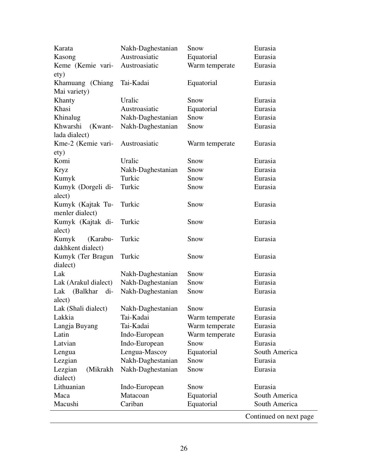| Khasi                                | Austroasiatic     | Equatorial     | Eurasia                |
|--------------------------------------|-------------------|----------------|------------------------|
| Khanty                               | Uralic            | Snow           | Eurasia                |
| Khinalug                             | Nakh-Daghestanian | Snow           | Eurasia                |
| Khwarshi<br>(Kwant-<br>lada dialect) | Nakh-Daghestanian | Snow           | Eurasia                |
| Kme-2 (Kemie vari-                   | Austroasiatic     | Warm temperate | Eurasia                |
| ety)<br>Komi                         | Uralic            | Snow           |                        |
|                                      |                   | Snow           | Eurasia<br>Eurasia     |
| <b>Kryz</b>                          | Nakh-Daghestanian |                |                        |
| Kumyk                                | Turkic            | Snow           | Eurasia                |
| Kumyk (Dorgeli di-<br>alect)         | Turkic            | Snow           | Eurasia                |
| Kumyk (Kajtak Tu-                    | Turkic            | Snow           | Eurasia                |
| menler dialect)                      |                   |                |                        |
| Kumyk (Kajtak di-                    | Turkic            | Snow           | Eurasia                |
| alect)                               |                   |                |                        |
| Kumyk<br>(Karabu-                    | Turkic            | Snow           | Eurasia                |
| dakhkent dialect)                    |                   |                |                        |
| Kumyk (Ter Bragun<br>dialect)        | Turkic            | Snow           | Eurasia                |
| Lak                                  | Nakh-Daghestanian | Snow           | Eurasia                |
|                                      | Nakh-Daghestanian | Snow           | Eurasia                |
| Lak (Arakul dialect)                 |                   |                |                        |
| Lak (Balkhar di-<br>alect)           | Nakh-Daghestanian | Snow           | Eurasia                |
| Lak (Shali dialect)                  | Nakh-Daghestanian | Snow           | Eurasia                |
| Lakkia                               | Tai-Kadai         | Warm temperate | Eurasia                |
|                                      | Tai-Kadai         | Warm temperate | Eurasia                |
| Langja Buyang<br>Latin               |                   |                | Eurasia                |
|                                      | Indo-European     | Warm temperate |                        |
| Latvian                              | Indo-European     | Snow           | Eurasia                |
| Lengua                               | Lengua-Mascoy     | Equatorial     | South America          |
| Lezgian                              | Nakh-Daghestanian | Snow           | Eurasia                |
| Lezgian<br>(Mikrakh                  | Nakh-Daghestanian | Snow           | Eurasia                |
| dialect)                             |                   |                |                        |
| Lithuanian                           | Indo-European     | Snow           | Eurasia                |
| Maca                                 | Matacoan          | Equatorial     | South America          |
| Macushi                              | Cariban           | Equatorial     | South America          |
|                                      |                   |                | Continued on next page |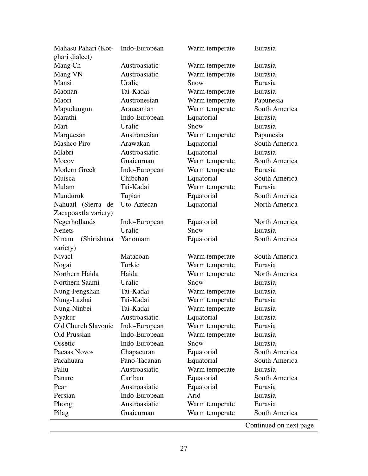| Mahasu Pahari (Kot-  | Indo-European | Warm temperate | Eurasia       |
|----------------------|---------------|----------------|---------------|
| ghari dialect)       |               |                |               |
| Mang Ch              | Austroasiatic | Warm temperate | Eurasia       |
| Mang VN              | Austroasiatic | Warm temperate | Eurasia       |
| Mansi                | Uralic        | Snow           | Eurasia       |
| Maonan               | Tai-Kadai     | Warm temperate | Eurasia       |
| Maori                | Austronesian  | Warm temperate | Papunesia     |
| Mapudungun           | Araucanian    | Warm temperate | South America |
| Marathi              | Indo-European | Equatorial     | Eurasia       |
| Mari                 | Uralic        | Snow           | Eurasia       |
| Marquesan            | Austronesian  | Warm temperate | Papunesia     |
| <b>Mashco Piro</b>   | Arawakan      | Equatorial     | South America |
| Mlabri               | Austroasiatic | Equatorial     | Eurasia       |
| Mocov                | Guaicuruan    | Warm temperate | South America |
| Modern Greek         | Indo-European | Warm temperate | Eurasia       |
| Muisca               | Chibchan      | Equatorial     | South America |
| Mulam                | Tai-Kadai     | Warm temperate | Eurasia       |
| Munduruk             | Tupian        | Equatorial     | South America |
| Nahuatl (Sierra de   | Uto-Aztecan   | Equatorial     | North America |
| Zacapoaxtla variety) |               |                |               |
| Negerhollands        | Indo-European | Equatorial     | North America |
| <b>Nenets</b>        | Uralic        | Snow           | Eurasia       |
| (Shirishana<br>Ninam | Yanomam       | Equatorial     | South America |
| variety)             |               |                |               |
| <b>Nivacl</b>        | Matacoan      | Warm temperate | South America |
| Nogai                | Turkic        | Warm temperate | Eurasia       |
| Northern Haida       | Haida         | Warm temperate | North America |
| Northern Saami       | Uralic        | Snow           | Eurasia       |
| Nung-Fengshan        | Tai-Kadai     | Warm temperate | Eurasia       |
| Nung-Lazhai          | Tai-Kadai     | Warm temperate | Eurasia       |
| Nung-Ninbei          | Tai-Kadai     | Warm temperate | Eurasia       |
| Nyakur               | Austroasiatic | Equatorial     | Eurasia       |
| Old Church Slavonic  | Indo-European | Warm temperate | Eurasia       |
| Old Prussian         | Indo-European | Warm temperate | Eurasia       |
| Ossetic              | Indo-European | Snow           | Eurasia       |
| Pacaas Novos         | Chapacuran    | Equatorial     | South America |
| Pacahuara            | Pano-Tacanan  | Equatorial     | South America |
| Paliu                | Austroasiatic | Warm temperate | Eurasia       |
| Panare               | Cariban       | Equatorial     | South America |
| Pear                 | Austroasiatic | Equatorial     | Eurasia       |
| Persian              | Indo-European | Arid           | Eurasia       |
| Phong                | Austroasiatic | Warm temperate | Eurasia       |
| Pilag                | Guaicuruan    | Warm temperate | South America |
|                      |               |                |               |

 $\overline{a}$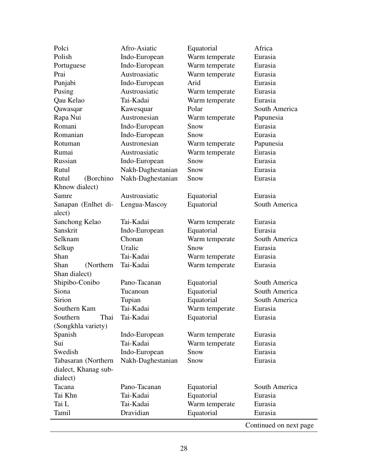| Polci                | Afro-Asiatic      | Equatorial     | Africa                 |
|----------------------|-------------------|----------------|------------------------|
| Polish               | Indo-European     | Warm temperate | Eurasia                |
| Portuguese           | Indo-European     | Warm temperate | Eurasia                |
| Prai                 | Austroasiatic     | Warm temperate | Eurasia                |
| Punjabi              | Indo-European     | Arid           | Eurasia                |
| Pusing               | Austroasiatic     | Warm temperate | Eurasia                |
| Qau Kelao            | Tai-Kadai         | Warm temperate | Eurasia                |
| Qawasqar             | Kawesquar         | Polar          | South America          |
| Rapa Nui             | Austronesian      | Warm temperate | Papunesia              |
| Romani               | Indo-European     | Snow           | Eurasia                |
| Romanian             | Indo-European     | Snow           | Eurasia                |
| Rotuman              | Austronesian      | Warm temperate | Papunesia              |
| Rumai                | Austroasiatic     | Warm temperate | Eurasia                |
| Russian              | Indo-European     | Snow           | Eurasia                |
| Rutul                | Nakh-Daghestanian | Snow           | Eurasia                |
| Rutul<br>(Borchino   | Nakh-Daghestanian | Snow           | Eurasia                |
| Khnow dialect)       |                   |                |                        |
| Samre                | Austroasiatic     | Equatorial     | Eurasia                |
| Sanapan (Enlhet di-  | Lengua-Mascoy     | Equatorial     | South America          |
| alect)               |                   |                |                        |
| Sanchong Kelao       | Tai-Kadai         | Warm temperate | Eurasia                |
| Sanskrit             | Indo-European     | Equatorial     | Eurasia                |
| Selknam              | Chonan            | Warm temperate | South America          |
| Selkup               | Uralic            | Snow           | Eurasia                |
| Shan                 | Tai-Kadai         | Warm temperate | Eurasia                |
| Shan<br>(Northern)   | Tai-Kadai         | Warm temperate | Eurasia                |
| Shan dialect)        |                   |                |                        |
| Shipibo-Conibo       | Pano-Tacanan      | Equatorial     | South America          |
| Siona                | Tucanoan          | Equatorial     | South America          |
| Sirion               | Tupian            | Equatorial     | South America          |
| Southern Kam         | Tai-Kadai         | Warm temperate | Eurasia                |
| Southern<br>Thai     | Tai-Kadai         | Equatorial     | Eurasia                |
| (Songkhla variety)   |                   |                |                        |
| Spanish              | Indo-European     | Warm temperate | Eurasia                |
| Sui                  | Tai-Kadai         | Warm temperate | Eurasia                |
| Swedish              | Indo-European     | Snow           | Eurasia                |
| Tabasaran (Northern  | Nakh-Daghestanian | Snow           | Eurasia                |
| dialect, Khanag sub- |                   |                |                        |
| dialect)             |                   |                |                        |
| Tacana               | Pano-Tacanan      | Equatorial     | South America          |
| Tai Khn              | Tai-Kadai         | Equatorial     | Eurasia                |
| Tai L                | Tai-Kadai         | Warm temperate | Eurasia                |
| Tamil                | Dravidian         | Equatorial     | Eurasia                |
|                      |                   |                | Continued on next page |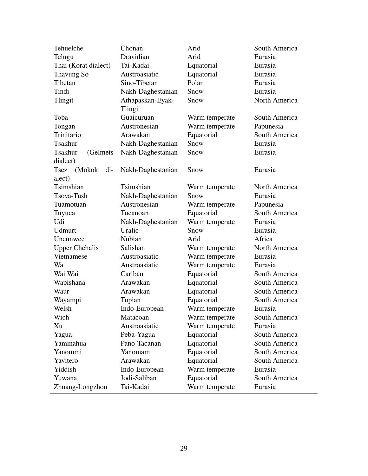| Tehuelche                   | Chonan                      | Arid           | South America |
|-----------------------------|-----------------------------|----------------|---------------|
| Telugu                      | Dravidian                   | Arid           | Eurasia       |
| Thai (Korat dialect)        | Tai-Kadai                   | Equatorial     | Eurasia       |
| Thavung So                  | Austroasiatic               | Equatorial     | Eurasia       |
| Tibetan                     | Sino-Tibetan                | Polar          | Eurasia       |
| Tindi                       | Nakh-Daghestanian           | Snow           | Eurasia       |
| Tlingit                     | Athapaskan-Eyak-<br>Tlingit | Snow           | North America |
| Toba                        | Guaicuruan                  | Warm temperate | South America |
| Tongan                      | Austronesian                | Warm temperate | Papunesia     |
| Trinitario                  | Arawakan                    | Equatorial     | South America |
| <b>Tsakhur</b>              | Nakh-Daghestanian           | Snow           | Eurasia       |
| <b>Tsakhur</b><br>(Gelmets) | Nakh-Daghestanian           | Snow           | Eurasia       |
| dialect)                    |                             |                |               |
| Tsez (Mokok<br>$di-$        | Nakh-Daghestanian           | Snow           | Eurasia       |
| alect)                      |                             |                |               |
| Tsimshian                   | Tsimshian                   | Warm temperate | North America |
| Tsova-Tush                  | Nakh-Daghestanian           | Snow           | Eurasia       |
| Tuamotuan                   | Austronesian                | Warm temperate | Papunesia     |
| Tuyuca                      | Tucanoan                    | Equatorial     | South America |
| Udi                         | Nakh-Daghestanian           | Warm temperate | Eurasia       |
| Udmurt                      | Uralic                      | Snow           | Eurasia       |
| Uncunwee                    | <b>Nubian</b>               | Arid           | Africa        |
| <b>Upper Chehalis</b>       | Salishan                    | Warm temperate | North America |
| Vietnamese                  | Austroasiatic               | Warm temperate | Eurasia       |
| Wa                          | Austroasiatic               | Warm temperate | Eurasia       |
| Wai Wai                     | Cariban                     | Equatorial     | South America |
| Wapishana                   | Arawakan                    | Equatorial     | South America |
| Waur                        | Arawakan                    | Equatorial     | South America |
| Wayampi                     | Tupian                      | Equatorial     | South America |
| Welsh                       | Indo-European               | Warm temperate | Eurasia       |
| Wich                        | Matacoan                    | Warm temperate | South America |
| Xu                          | Austroasiatic               | Warm temperate | Eurasia       |
| Yagua                       | Peba-Yagua                  | Equatorial     | South America |
| Yaminahua                   | Pano-Tacanan                | Equatorial     | South America |
| Yanommi                     | Yanomam                     | Equatorial     | South America |
| Yavitero                    | Arawakan                    | Equatorial     | South America |
| Yiddish                     | Indo-European               | Warm temperate | Eurasia       |
| Yuwana                      | Jodi-Saliban                | Equatorial     | South America |
| Zhuang-Longzhou             | Tai-Kadai                   | Warm temperate | Eurasia       |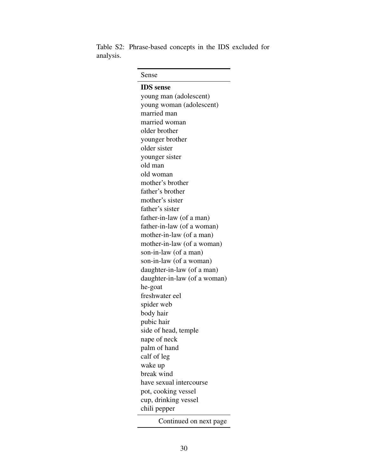Table S2: Phrase-based concepts in the IDS excluded for analysis.

| Sense                        |
|------------------------------|
| <b>IDS</b> sense             |
| young man (adolescent)       |
| young woman (adolescent)     |
| married man                  |
| married woman                |
| older brother                |
| younger brother              |
| older sister                 |
| younger sister               |
| old man                      |
| old woman                    |
| mother's brother             |
| father's brother             |
| mother's sister              |
| father's sister              |
| father-in-law (of a man)     |
| father-in-law (of a woman)   |
| mother-in-law (of a man)     |
| mother-in-law (of a woman)   |
| son-in-law (of a man)        |
| son-in-law (of a woman)      |
| daughter-in-law (of a man)   |
| daughter-in-law (of a woman) |
| he-goat                      |
| freshwater eel               |
| spider web                   |
| body hair                    |
| pubic hair                   |
| side of head, temple         |
| nape of neck                 |
| palm of hand                 |
| calf of leg                  |
| wake up                      |
| break wind                   |
| have sexual intercourse      |
| pot, cooking vessel          |
| cup, drinking vessel         |
| chili pepper                 |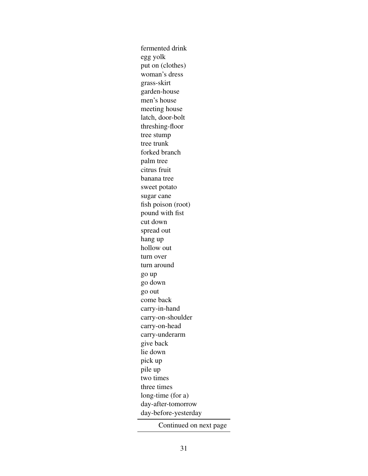fermented drink egg yolk put on (clothes) woman's dress grass-skirt garden-house men's house meeting house latch, door-bolt threshing-floor tree stump tree trunk forked branch palm tree citrus fruit banana tree sweet potato sugar cane fish poison (root) pound with fist cut down spread out hang up hollow out turn over turn around go up go down go out come back carry-in-hand carry-on-shoulder carry-on-head carry-underarm give back lie down pick up pile up two times three times long-time (for a) day-after-tomorrow day-before-yesterday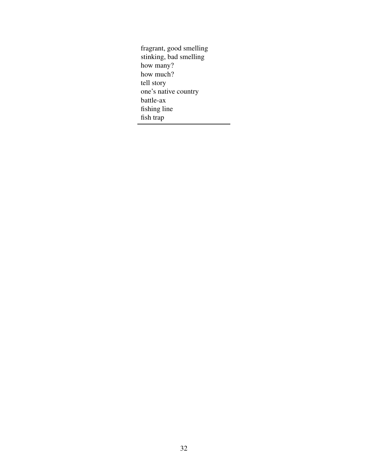fragrant, good smelling stinking, bad smelling how many? how much? tell story one's native country battle-ax fishing line fish trap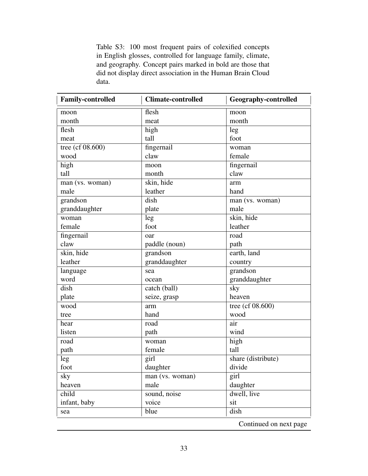Table S3: 100 most frequent pairs of colexified concepts in English glosses, controlled for language family, climate, and geography. Concept pairs marked in bold are those that did not display direct association in the Human Brain Cloud data.

| <b>Family-controlled</b> | <b>Climate-controlled</b> | <b>Geography-controlled</b> |
|--------------------------|---------------------------|-----------------------------|
| moon                     | flesh                     | moon                        |
| month                    | meat                      | month                       |
| flesh                    | high                      | leg                         |
| meat                     | tall                      | foot                        |
| tree (cf $08.600$ )      | fingernail                | woman                       |
| wood                     | claw                      | female                      |
| high                     | moon                      | fingernail                  |
| tall                     | month                     | claw                        |
| man (vs. woman)          | skin, hide                | arm                         |
| male                     | leather                   | hand                        |
| grandson                 | dish                      | man (vs. woman)             |
| granddaughter            | plate                     | male                        |
| woman                    | leg                       | skin, hide                  |
| female                   | foot                      | leather                     |
| fingernail               | oar                       | road                        |
| claw                     | paddle (noun)             | path                        |
| skin, hide               | grandson                  | earth, land                 |
| leather                  | granddaughter             | country                     |
| language                 | sea                       | grandson                    |
| word                     | ocean                     | granddaughter               |
| dish                     | catch (ball)              | sky                         |
| plate                    | seize, grasp              | heaven                      |
| wood                     | arm                       | tree (cf $08.600$ )         |
| tree                     | hand                      | wood                        |
| hear                     | road                      | air                         |
| listen                   | path                      | wind                        |
| road                     | woman                     | high                        |
| path                     | female                    | tall                        |
| leg                      | girl                      | share (distribute)          |
| foot                     | daughter                  | divide                      |
| sky                      | man (vs. woman)           | girl                        |
| heaven                   | male                      | daughter                    |
| child                    | sound, noise              | dwell, live                 |
| infant, baby             | voice                     | sit                         |
| sea                      | blue                      | dish                        |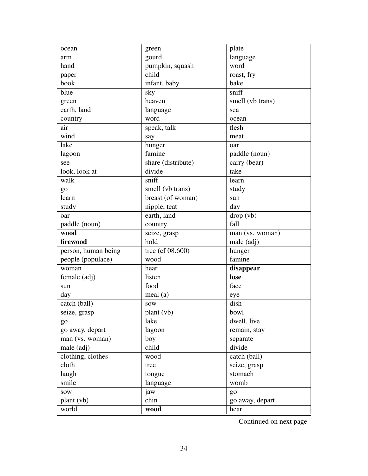| ocean               | green              | plate                  |
|---------------------|--------------------|------------------------|
| arm                 | gourd              | language               |
| hand                | pumpkin, squash    | word                   |
| paper               | child              | roast, fry             |
| book                | infant, baby       | bake                   |
| blue                | sky                | sniff                  |
| green               | heaven             | smell (vb trans)       |
| earth, land         | language           | sea                    |
| country             | word               | ocean                  |
| air                 | speak, talk        | flesh                  |
| wind                | say                | meat                   |
| lake                | hunger             | oar                    |
| lagoon              | famine             | paddle (noun)          |
| see                 | share (distribute) | carry (bear)           |
| look, look at       | divide             | take                   |
| walk                | sniff              | learn                  |
| go                  | smell (vb trans)   | study                  |
| learn               | breast (of woman)  | sun                    |
| study               | nipple, teat       | day                    |
| oar                 | earth, land        | drop (vb)              |
| paddle (noun)       | country            | fall                   |
| wood                | seize, grasp       | man (vs. woman)        |
| firewood            | hold               | male (adj)             |
| person, human being | tree (cf 08.600)   | hunger                 |
| people (populace)   | wood               | famine                 |
| woman               | hear               | disappear              |
| female (adj)        | listen             | lose                   |
| sun                 | food               | face                   |
| day                 | meal (a)           | eye                    |
| catch (ball)        | <b>SOW</b>         | dish                   |
| seize, grasp        | plant (vb)         | bowl                   |
| go                  | lake               | dwell, live            |
| go away, depart     | lagoon             | remain, stay           |
| man (vs. woman)     | boy                | separate               |
| male (adj)          | child              | divide                 |
| clothing, clothes   | wood               | catch (ball)           |
| cloth               | tree               | seize, grasp           |
| laugh               | tongue             | stomach                |
| smile               | language           | womb                   |
| sow                 | jaw                | go                     |
| plant (vb)          | chin               | go away, depart        |
| world               | wood               | hear                   |
|                     |                    | Continued on next page |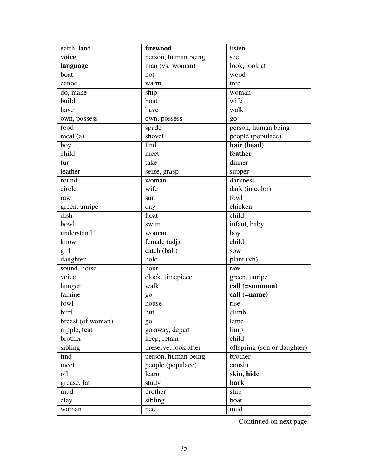| earth, land       | firewood             | listen                      |
|-------------------|----------------------|-----------------------------|
| voice             | person, human being  | see                         |
| language          | man (vs. woman)      | look, look at               |
| boat              | hot                  | wood                        |
| canoe             | warm                 | tree                        |
| do, make          | ship                 | woman                       |
| build             | boat                 | wife                        |
| have              | have                 | walk                        |
| own, possess      | own, possess         | go                          |
| food              | spade                | person, human being         |
| meal(a)           | shovel               | people (populace)           |
| boy               | find                 | hair (head)                 |
| child             | meet                 | feather                     |
| fur               | take                 | dinner                      |
| leather           | seize, grasp         | supper                      |
| round             | woman                | darkness                    |
| circle            | wife                 | dark (in color)             |
| raw               | sun                  | fowl                        |
| green, unripe     | day                  | chicken                     |
| dish              | float                | child                       |
| bowl              | swim                 | infant, baby                |
| understand        | woman                | boy                         |
| know              | female (adj)         | child                       |
| girl              | catch (ball)         | <b>SOW</b>                  |
| daughter          | hold                 | plant (vb)                  |
| sound, noise      | hour                 | raw                         |
| voice             | clock, timepiece     | green, unripe               |
| hunger            | walk                 | call (=summon)              |
| famine            | go                   | call (=name)                |
| fowl              | house                | rise                        |
| bird              | hut                  | climb                       |
| breast (of woman) | $g_0$                | lame                        |
| nipple, teat      | go away, depart      | limp                        |
| brother           | keep, retain         | child                       |
| sibling           | preserve, look after | offspring (son or daughter) |
| find              | person, human being  | brother                     |
| meet              | people (populace)    | cousin                      |
| oil               | learn                | skin, hide                  |
| grease, fat       | study                | bark                        |
| mud               | brother              | ship                        |
| clay              | sibling              | boat                        |
| woman             | peel                 | mud                         |
|                   |                      | Continued on next page      |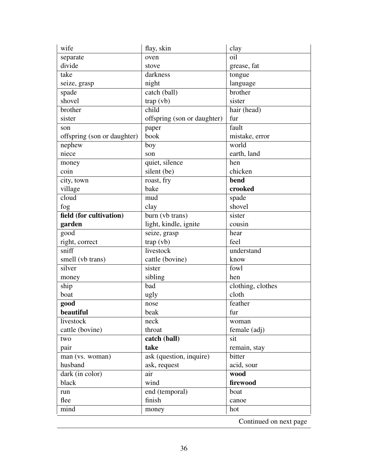| wife                        | flay, skin                  | clay                   |
|-----------------------------|-----------------------------|------------------------|
| separate                    | oven                        | oil                    |
| divide                      | stove                       | grease, fat            |
| take                        | darkness                    | tongue                 |
| seize, grasp                | night                       | language               |
| spade                       | catch (ball)                | brother                |
| shovel                      | trap (vb)                   | sister                 |
| brother                     | $\overline{child}$          | hair (head)            |
| sister                      | offspring (son or daughter) | fur                    |
| son                         | paper                       | fault                  |
| offspring (son or daughter) | book                        | mistake, error         |
| nephew                      | boy                         | world                  |
| niece                       | son                         | earth, land            |
| money                       | quiet, silence              | hen                    |
| coin                        | silent (be)                 | chicken                |
| city, town                  | roast, fry                  | bend                   |
| village                     | bake                        | crooked                |
| $\overline{cloud}$          | mud                         | spade                  |
| fog                         | clay                        | shovel                 |
| field (for cultivation)     | burn (vb trans)             | sister                 |
| garden                      | light, kindle, ignite       | cousin                 |
| good                        | seize, grasp                | hear                   |
| right, correct              | trap (vb)                   | feel                   |
| sniff                       | livestock                   | understand             |
| smell (vb trans)            | cattle (bovine)             | know                   |
| silver                      | sister                      | fowl                   |
| money                       | sibling                     | hen                    |
| ship                        | bad                         | clothing, clothes      |
| boat                        | ugly                        | cloth                  |
| good                        | nose                        | feather                |
| beautiful                   | beak                        | fur                    |
| livestock                   | neck                        | woman                  |
| cattle (bovine)             | throat                      | female (adj)           |
| two                         | catch (ball)                | sit                    |
| pair                        | take                        | remain, stay           |
| $\overline{man(vs. woman)}$ | ask (question, inquire)     | bitter                 |
| husband                     | ask, request                | acid, sour             |
| dark (in color)             | air                         | wood                   |
| black                       | wind                        | firewood               |
| run                         | end (temporal)              | boat                   |
| flee                        | finish                      | canoe                  |
| mind                        | money                       | hot                    |
|                             |                             | Continued on next page |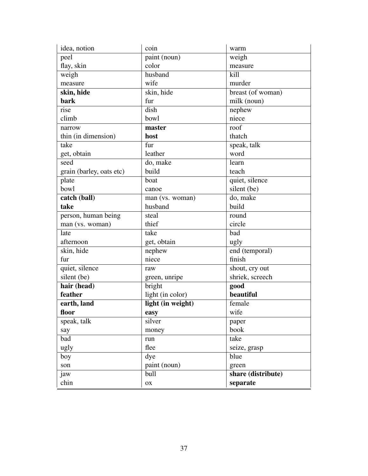| idea, notion                     | coin              | warm               |
|----------------------------------|-------------------|--------------------|
| peel                             | paint (noun)      | weigh              |
| flay, skin                       | color             | measure            |
| weigh                            | husband           | kill               |
| measure                          | wife              | murder             |
| skin, hide                       | skin, hide        | breast (of woman)  |
| bark                             | fur               | milk (noun)        |
| rise                             | dish              | nephew             |
| climb                            | bowl              | niece              |
| narrow                           | master            | roof               |
| thin (in dimension)              | host              | thatch             |
| take                             | fur               | speak, talk        |
| get, obtain                      | leather           | word               |
| seed                             | do, make          | learn              |
| grain (barley, oats etc)         | build             | teach              |
| plate                            | boat              | quiet, silence     |
| bowl                             | canoe             | silent (be)        |
| $\overline{\text{catch (ball)}}$ | man (vs. woman)   | do, make           |
| take                             | husband           | build              |
| person, human being              | steal             | round              |
| man (vs. woman)                  | thief             | circle             |
| late                             | take              | bad                |
| afternoon                        | get, obtain       | ugly               |
| skin, hide                       | nephew            | end (temporal)     |
| fur                              | niece             | finish             |
| quiet, silence                   | raw               | shout, cry out     |
| silent (be)                      | green, unripe     | shriek, screech    |
| hair (head)                      | bright            | good               |
| feather                          | light (in color)  | beautiful          |
| earth, land                      | light (in weight) | female             |
| floor                            | easy              | wife               |
| speak, talk                      | silver            | paper              |
| say                              | money             | book               |
| bad                              | run               | take               |
| ugly                             | flee              | seize, grasp       |
| boy                              | dye               | blue               |
| son                              | paint (noun)      | green              |
| jaw                              | bull              | share (distribute) |
| chin                             | OX                | separate           |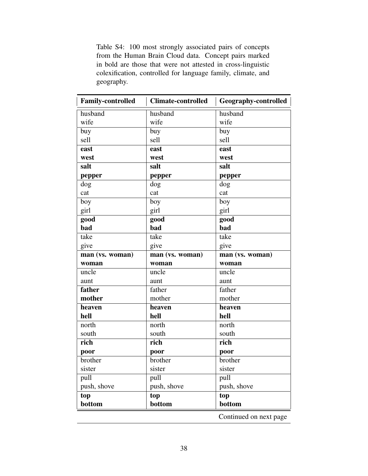Table S4: 100 most strongly associated pairs of concepts from the Human Brain Cloud data. Concept pairs marked in bold are those that were not attested in cross-linguistic colexification, controlled for language family, climate, and geography.

| <b>Family-controlled</b> | <b>Climate-controlled</b> | <b>Geography-controlled</b> |
|--------------------------|---------------------------|-----------------------------|
| husband                  | husband                   | husband                     |
| wife                     | wife                      | wife                        |
| buy                      | buy                       | buy                         |
| sell                     | sell                      | sell                        |
| east                     | east                      | east                        |
| west                     | west                      | west                        |
| salt                     | salt                      | salt                        |
| pepper                   | pepper                    | pepper                      |
| dog                      | dog                       | dog                         |
| cat                      | cat                       | cat                         |
| boy                      | boy                       | boy                         |
| girl                     | girl                      | girl                        |
| good                     | good                      | good                        |
| bad                      | bad                       | bad                         |
| take                     | take                      | take                        |
| give                     | give                      | give                        |
| man (vs. woman)          | man (vs. woman)           | man (vs. woman)             |
| woman                    | woman                     | woman                       |
| uncle                    | uncle                     | uncle                       |
| aunt                     | aunt                      | aunt                        |
| father                   | father                    | father                      |
| mother                   | mother                    | mother                      |
| heaven                   | heaven                    | heaven                      |
| hell                     | hell                      | hell                        |
| north                    | north                     | north                       |
| south                    | south                     | south                       |
| rich                     | rich                      | rich                        |
| poor                     | poor                      | poor                        |
| brother                  | <b>brother</b>            | brother                     |
| sister                   | sister                    | sister                      |
| pull                     | pull                      | pull                        |
| push, shove              | push, shove               | push, shove                 |
| top                      | top                       | top                         |
| bottom                   | bottom                    | bottom                      |
|                          |                           | Continued on next page      |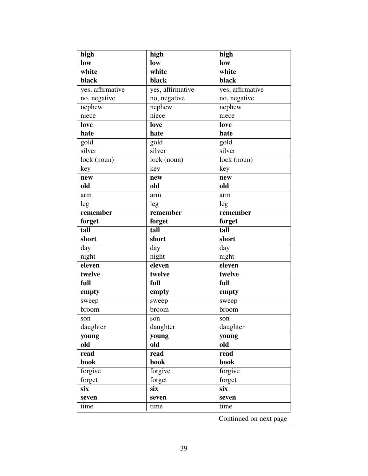| high             | high              | high                     |
|------------------|-------------------|--------------------------|
| low              | low               | low                      |
| white            | white             | white                    |
| black            | black             | black                    |
| yes, affirmative | yes, affirmative  | yes, affirmative         |
| no, negative     | no, negative      | no, negative             |
| nephew           | nephew            | nephew                   |
| niece            | niece             | niece                    |
| love             | love              | <b>love</b>              |
| hate             | hate              | hate                     |
| gold             | $\overline{gold}$ | $\overline{gold}$        |
| silver           | silver            | silver                   |
| lock (noun)      | lock (noun)       | $\overline{lock}$ (noun) |
| key              | key               | key                      |
| new              | new               | new                      |
| old              | old               | old                      |
| arm              | arm               | arm                      |
| leg              | leg               | leg                      |
| remember         | remember          | remember                 |
| forget           | forget            | forget                   |
| tall             | tall              | tall                     |
| short            | short             | short                    |
| day              | day               | day                      |
| night            | night             | night                    |
| eleven           | eleven            | eleven                   |
| twelve           | twelve            | twelve                   |
| full             | full              | full                     |
| empty            | empty             | empty                    |
| sweep            | sweep             | sweep                    |
| broom            | broom             | broom                    |
| son              | son               | son                      |
| daughter         | daughter          | daughter                 |
| young            | young             | young                    |
| old              | old               | old                      |
| read             | read              | read                     |
| book             | book              | book                     |
| forgive          | forgive           | forgive                  |
| forget           | forget            | forget                   |
| six              | six               | six                      |
| seven            | seven             | seven                    |
| time             | time              | time                     |
|                  |                   | Continued on next page   |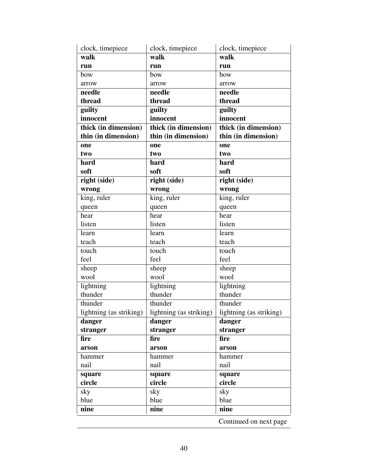| clock, timepiece        | clock, timepiece        | clock, timepiece        |
|-------------------------|-------------------------|-------------------------|
| walk                    | walk                    | walk                    |
| run                     | run                     | run                     |
| bow                     | bow                     | bow                     |
| arrow                   | arrow                   | arrow                   |
| needle                  | needle                  | needle                  |
| thread                  | thread                  | thread                  |
| guilty                  | guilty                  | guilty                  |
| innocent                | innocent                | innocent                |
| thick (in dimension)    | thick (in dimension)    | thick (in dimension)    |
| thin (in dimension)     | thin (in dimension)     | thin (in dimension)     |
| one                     | one                     | one                     |
| two                     | two                     | two                     |
| hard                    | hard                    | hard                    |
| soft                    | soft                    | soft                    |
| right (side)            | right (side)            | right (side)            |
| wrong                   | wrong                   | wrong                   |
| king, ruler             | king, ruler             | king, ruler             |
| queen                   | queen                   | queen                   |
| hear                    | hear                    | hear                    |
| listen                  | listen                  | listen                  |
| learn                   | learn                   | learn                   |
| teach                   | teach                   | teach                   |
| touch                   | touch                   | touch                   |
| feel                    | feel                    | feel                    |
| sheep                   | sheep                   | sheep                   |
| wool                    | wool                    | wool                    |
| lightning               | lightning               | lightning               |
| thunder                 | thunder                 | thunder                 |
| thunder                 | thunder                 | thunder                 |
| lightning (as striking) | lightning (as striking) | lightning (as striking) |
| danger                  | danger                  | danger                  |
| stranger                | stranger                | stranger                |
| fire                    | fire                    | fire                    |
| arson                   | arson                   | arson                   |
| hammer                  | hammer                  | hammer                  |
| nail                    | nail                    | nail                    |
| square                  | square                  | square                  |
| circle                  | circle                  | circle                  |
| sky                     | sky                     | sky                     |
| blue                    | blue                    | blue                    |
| nine                    | nine                    | nine                    |
|                         |                         | Continued on next page  |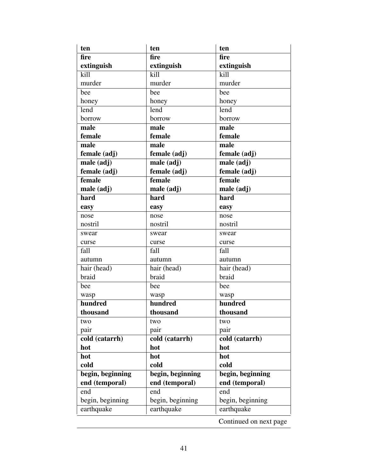| ten              | ten              | ten                    |
|------------------|------------------|------------------------|
| fire             | fire             | fire                   |
| extinguish       | extinguish       | extinguish             |
| kill             | kill             | kill                   |
| murder           | murder           | murder                 |
| bee              | bee              | bee                    |
| honey            | honey            | honey                  |
| lend             | lend             | lend                   |
| borrow           | borrow           | borrow                 |
| male             | male             | male                   |
| female           | female           | female                 |
| male             | male             | male                   |
| female (adj)     | female (adj)     | female (adj)           |
| male (adj)       | male (adj)       | male (adj)             |
| female (adj)     | female (adj)     | female (adj)           |
| female           | female           | female                 |
| male (adj)       | male (adj)       | male (adj)             |
| hard             | hard             | hard                   |
| easy             | easy             | easy                   |
| nose             | nose             | nose                   |
| nostril          | nostril          | nostril                |
| swear            | swear            | swear                  |
| curse            | curse            | curse                  |
| fall             | fall             | fall                   |
| autumn           | autumn           | autumn                 |
| hair (head)      | hair (head)      | hair (head)            |
| braid            | braid            | braid                  |
| bee              | bee              | bee                    |
| wasp             | wasp             | wasp                   |
| hundred          | hundred          | hundred                |
| thousand         | thousand         | thousand               |
| two              | two              | two                    |
| pair             | pair             | pair                   |
| cold (catarrh)   | cold (catarrh)   | cold (catarrh)         |
| hot              | hot              | hot                    |
| hot              | hot              | hot                    |
| cold             | cold             | cold                   |
| begin, beginning | begin, beginning | begin, beginning       |
| end (temporal)   | end (temporal)   | end (temporal)         |
| end              | end              | end                    |
| begin, beginning | begin, beginning | begin, beginning       |
| earthquake       | earthquake       | earthquake             |
|                  |                  | Continued on next page |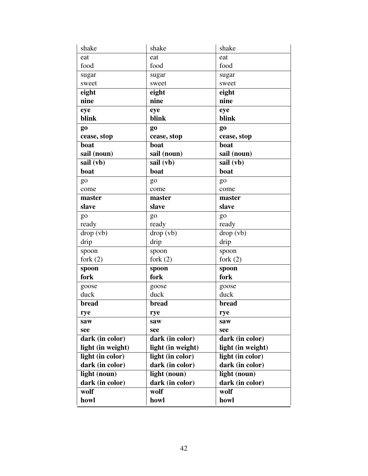| shake             | shake             | shake             |
|-------------------|-------------------|-------------------|
| eat               | eat               | eat               |
| food              | food              | food              |
| sugar             | sugar             | sugar             |
| sweet             | sweet             | sweet             |
| eight             | eight             | eight             |
| nine              | nine              | nine              |
| eye               | eye               | eye               |
| blink             | blink             | blink             |
| g <sub>0</sub>    | go                | go                |
| cease, stop       | cease, stop       | cease, stop       |
| boat              | boat              | boat              |
| sail (noun)       | sail (noun)       | sail (noun)       |
| sail (vb)         | sail (vb)         | sail (vb)         |
| boat              | boat              | boat              |
| go                | go                | go                |
| come              | come              | come              |
| master            | master            | master            |
| slave             | slave             | slave             |
| go                | go                | g <sub>o</sub>    |
| ready             | ready             | ready             |
| drop (vb)         | drop (vb)         | drop (vb)         |
| drip              | drip              | drip              |
| spoon             | spoon             | spoon             |
| fork $(2)$        | fork $(2)$        | fork $(2)$        |
| spoon             | spoon             | spoon             |
| fork              | fork              | fork              |
| goose             | goose             | goose             |
| duck              | duck              | duck              |
| bread             | bread             | bread             |
| rye               | rye               | rye               |
| saw               | saw               | saw               |
| see               | see               | see               |
| dark (in color)   | dark (in color)   | dark (in color)   |
| light (in weight) | light (in weight) | light (in weight) |
| light (in color)  | light (in color)  | light (in color)  |
| dark (in color)   | dark (in color)   | dark (in color)   |
| light (noun)      | light (noun)      | light (noun)      |
| dark (in color)   | dark (in color)   | dark (in color)   |
| wolf              | wolf              | wolf              |
| howl              | howl              | howl              |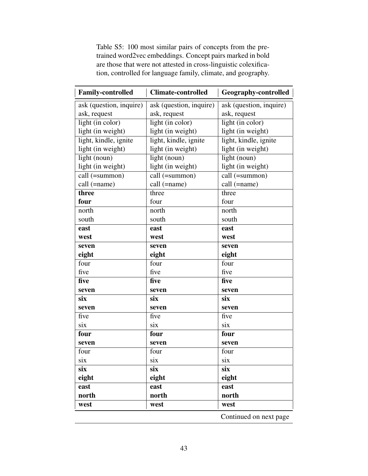Table S5: 100 most similar pairs of concepts from the pretrained word2vec embeddings. Concept pairs marked in bold are those that were not attested in cross-linguistic colexification, controlled for language family, climate, and geography.

| <b>Family-controlled</b> | <b>Climate-controlled</b> | <b>Geography-controlled</b> |
|--------------------------|---------------------------|-----------------------------|
| ask (question, inquire)  | ask (question, inquire)   | ask (question, inquire)     |
| ask, request             | ask, request              | ask, request                |
| light (in color)         | light (in color)          | light (in color)            |
| light (in weight)        | light (in weight)         | light (in weight)           |
| light, kindle, ignite    | light, kindle, ignite     | light, kindle, ignite       |
| light (in weight)        | light (in weight)         | light (in weight)           |
| light (noun)             | light (noun)              | light (noun)                |
| light (in weight)        | light (in weight)         | light (in weight)           |
| call (=summon)           | $call$ (=summon)          | $call$ (=summon)            |
| call (=name)             | call (=name)              | call (=name)                |
| three                    | three                     | three                       |
| four                     | four                      | four                        |
| north                    | north                     | north                       |
| south                    | south                     | south                       |
| east                     | east                      | east                        |
| west                     | west                      | west                        |
| seven                    | seven                     | seven                       |
| eight                    | eight                     | eight                       |
| four                     | four                      | four                        |
| five                     | five                      | five                        |
| five                     | five                      | five                        |
| seven                    | seven                     | seven                       |
| six                      | six                       | six                         |
| seven                    | seven                     | seven                       |
| five                     | five                      | five                        |
| six                      | six                       | six                         |
| four                     | four                      | four                        |
| seven                    | seven                     | seven                       |
| four                     | four                      | four                        |
| six                      | six                       | six                         |
| six                      | six                       | six                         |
| eight                    | eight                     | eight                       |
| east                     | east                      | east                        |
| north                    | north                     | north                       |
| west                     | west                      | west                        |
|                          |                           | Continued on next nage      |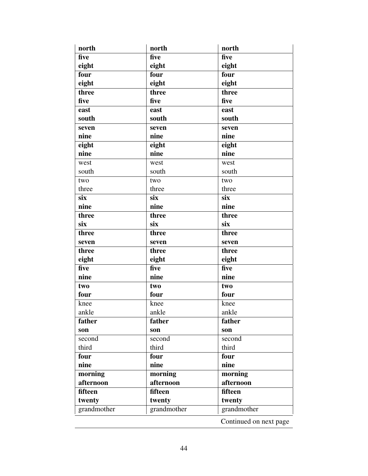| north       | north       | north                                   |
|-------------|-------------|-----------------------------------------|
| five        | five        | five                                    |
| eight       | eight       | eight                                   |
| four        | four        | four                                    |
| eight       | eight       | eight                                   |
| three       | three       | three                                   |
| five        | five        | five                                    |
| east        | east        | east                                    |
| south       | south       | south                                   |
| seven       | seven       | seven                                   |
| nine        | nine        | nine                                    |
| eight       | eight       | eight                                   |
| nine        | nine        | nine                                    |
| west        | west        | west                                    |
| south       | south       | south                                   |
| two         | two         | two                                     |
| three       | three       | three                                   |
| six         | six         | $\overline{\text{s} \text{i} \text{x}}$ |
| nine        | nine        | nine                                    |
| three       | three       | three                                   |
| six         | six         | six                                     |
| three       | three       | three                                   |
| seven       | seven       | seven                                   |
| three       | three       | three                                   |
| eight       | eight       | eight                                   |
| five        | five        | five                                    |
| nine        | nine        | nine                                    |
| two         | two         | two                                     |
| four        | four        | four                                    |
| knee        | knee        | knee                                    |
| ankle       | ankle       | ankle                                   |
| father      | father      | father                                  |
| son         | son         | son                                     |
| second      | second      | second                                  |
| third       | third       | third                                   |
| four        | four        | four                                    |
| nine        | nine        | nine                                    |
| morning     | morning     | morning                                 |
| afternoon   | afternoon   | afternoon                               |
| fifteen     | fifteen     | fifteen                                 |
| twenty      | twenty      | twenty                                  |
| grandmother | grandmother | grandmother                             |
|             |             | Continued on next page                  |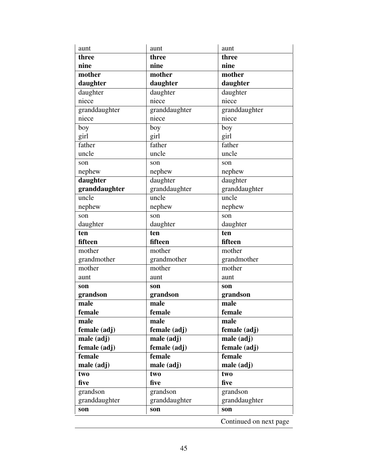| aunt          | aunt                      | aunt                      |
|---------------|---------------------------|---------------------------|
| three         | three                     | three                     |
| nine          | nine                      | nine                      |
| mother        | mother                    | mother                    |
| daughter      | daughter                  | daughter                  |
| daughter      | daughter                  | daughter                  |
| niece         | niece                     | niece                     |
| granddaughter | granddaughter             | granddaughter             |
| niece         | niece                     | niece                     |
| boy           | boy                       | boy                       |
| girl          | girl                      | girl                      |
| father        | father                    | father                    |
| uncle         | uncle                     | uncle                     |
| son           | son                       | son                       |
| nephew        | nephew                    | nephew                    |
| daughter      | daughter                  | daughter                  |
| granddaughter | granddaughter             | granddaughter             |
| uncle         | uncle                     | $\overline{\text{uncle}}$ |
| nephew        | nephew                    | nephew                    |
| son           | son                       | son                       |
| daughter      | daughter                  | daughter                  |
| ten           | ten                       | ten                       |
| fifteen       | fifteen                   | fifteen                   |
| mother        | mother                    | mother                    |
| grandmother   | grandmother               | grandmother               |
| mother        | mother                    | mother                    |
|               |                           |                           |
| aunt          | aunt                      | aunt                      |
| son           | son                       | son                       |
| grandson      | grandson                  | grandson                  |
| male          | male                      | male                      |
| female        | female                    | female                    |
| male          | male                      | male                      |
| female (adj)  | female (adj)              | female (adj)              |
| male (adj)    | $male$ $(\overline{adj})$ | male (adj)                |
| female (adj)  | female (adj)              | female (adj)              |
| female        | female                    | female                    |
| male (adj)    | male (adj)                | male (adj)                |
| two           | two                       | two                       |
| five          | five                      | five                      |
| grandson      | $\overline{gr}$ andson    | grandson                  |
| granddaughter | granddaughter             | granddaughter             |
| son           | son                       | son                       |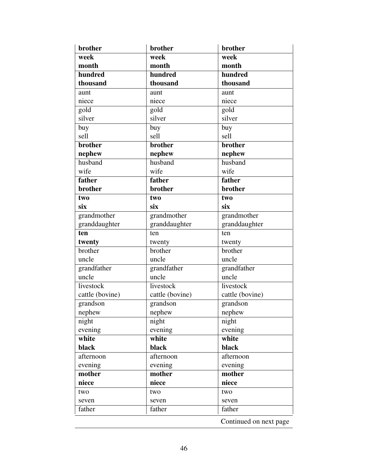| brother         | brother         | brother                |
|-----------------|-----------------|------------------------|
| week            | week            | week                   |
| month           | month           | month                  |
| hundred         | hundred         | hundred                |
| thousand        | thousand        | thousand               |
| aunt            | aunt            | aunt                   |
| niece           | niece           | niece                  |
| gold            | gold            | gold                   |
| silver          | silver          | silver                 |
| buy             | buy             | buy                    |
| sell            | sell            | sell                   |
| brother         | brother         | brother                |
| nephew          | nephew          | nephew                 |
| husband         | husband         | husband                |
| wife            | wife            | wife                   |
| father          | father          | father                 |
| brother         | brother         | brother                |
| two             | two             | two                    |
| six             | six             | six                    |
| grandmother     | grandmother     | grandmother            |
| granddaughter   | granddaughter   | granddaughter          |
| ten             | ten             | ten                    |
| twenty          | twenty          | twenty                 |
| brother         | brother         | brother                |
| uncle           | uncle           | uncle                  |
| grandfather     | grandfather     | grandfather            |
| uncle           | uncle           | uncle                  |
| livestock       | livestock       | livestock              |
| cattle (bovine) | cattle (bovine) | cattle (bovine)        |
| grandson        | grandson        | grandson               |
| nephew          | nephew          | nephew                 |
| night           | night           | night                  |
| evening         | evening         | evening                |
| white           | white           | white                  |
| black           | black           | black                  |
| afternoon       | afternoon       | afternoon              |
| evening         | evening         | evening                |
| mother          | mother          | mother                 |
| niece           | niece           | niece                  |
| two             | two             | two                    |
| seven           | seven           | seven                  |
| father          | father          | father                 |
|                 |                 | Continued on next page |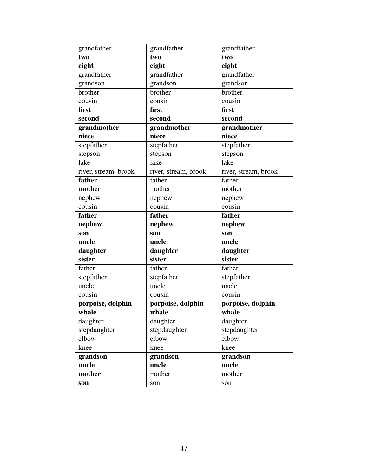| grandfather          | grandfather          | grandfather          |
|----------------------|----------------------|----------------------|
| two                  | two                  | two                  |
| eight                | eight                | eight                |
| grandfather          | grandfather          | grandfather          |
| grandson             | grandson             | grandson             |
| brother              | brother              | brother              |
| cousin               | cousin               | cousin               |
| first                | first                | first                |
| second               | second               | second               |
| grandmother          | grandmother          | grandmother          |
| niece                | niece                | niece                |
| stepfather           | stepfather           | stepfather           |
| stepson              | stepson              | stepson              |
| lake                 | lake                 | lake                 |
| river, stream, brook | river, stream, brook | river, stream, brook |
| father               | father               | father               |
| mother               | mother               | mother               |
| nephew               | nephew               | nephew               |
| cousin               | cousin               | cousin               |
| father               | father               | father               |
|                      |                      |                      |
| nephew               | nephew               | nephew               |
| son                  | son                  | son                  |
| uncle                | uncle                | uncle                |
| daughter             | daughter             | daughter             |
| sister               | sister               | sister               |
| father               | father               | father               |
| stepfather           | stepfather           | stepfather           |
| uncle                | uncle                | uncle                |
| cousin               | cousin               | cousin               |
| porpoise, dolphin    | porpoise, dolphin    | porpoise, dolphin    |
| whale                | whale                | whale                |
| daughter             | daughter             | daughter             |
| stepdaughter         | stepdaughter         | stepdaughter         |
| elbow                | elbow                | elbow                |
| knee                 | knee                 | knee                 |
| grandson             | grandson             | grandson             |
| uncle                | uncle                | uncle                |
| mother               | mother               | mother               |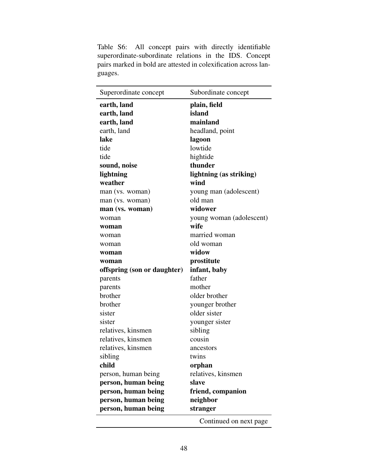| Superordinate concept       | Subordinate concept      |
|-----------------------------|--------------------------|
| earth, land                 | plain, field             |
| earth, land                 | island                   |
| earth, land                 | mainland                 |
| earth, land                 | headland, point          |
| lake                        | lagoon                   |
| tide                        | lowtide                  |
| tide                        | hightide                 |
| sound, noise                | thunder                  |
| lightning                   | lightning (as striking)  |
| weather                     | wind                     |
| man (vs. woman)             | young man (adolescent)   |
| man (vs. woman)             | old man                  |
| man (vs. woman)             | widower                  |
| woman                       | young woman (adolescent) |
| woman                       | wife                     |
| woman                       | married woman            |
| woman                       | old woman                |
| woman                       | widow                    |
| woman                       | prostitute               |
|                             |                          |
| offspring (son or daughter) | infant, baby             |
| parents                     | father                   |
| parents                     | mother                   |
| brother                     | older brother            |
| brother                     | younger brother          |
| sister                      | older sister             |
| sister                      | younger sister           |
| relatives, kinsmen          | sibling                  |
| relatives, kinsmen          | cousin                   |
| relatives, kinsmen          | ancestors                |
| sibling                     | twins                    |
| child                       | orphan                   |
| person, human being         | relatives, kinsmen       |
| person, human being         | slave                    |
| person, human being         | friend, companion        |
| person, human being         | neighbor                 |
| person, human being         | stranger                 |

Table S6: All concept pairs with directly identifiable superordinate-subordinate relations in the IDS. Concept pairs marked in bold are attested in colexification across languages.

48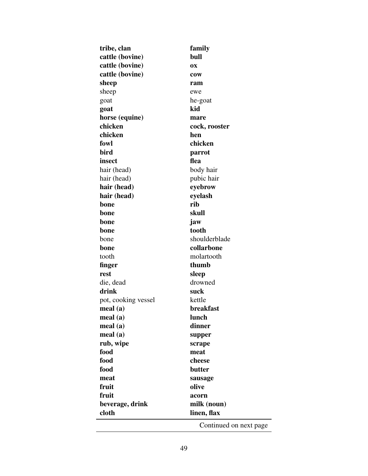| tribe, clan         | family                 |
|---------------------|------------------------|
| cattle (bovine)     | bull                   |
| cattle (bovine)     | 0X                     |
| cattle (bovine)     | cow                    |
| sheep               | ram                    |
| sheep               | ewe                    |
| goat                | he-goat                |
| goat                | kid                    |
| horse (equine)      | mare                   |
| chicken             | cock, rooster          |
| chicken             | hen                    |
| fowl                | chicken                |
| bird                | parrot                 |
| insect              | flea                   |
| hair (head)         | body hair              |
| hair (head)         | pubic hair             |
| hair (head)         | eyebrow                |
| hair (head)         | eyelash                |
| bone                | rib                    |
| bone                | skull                  |
| bone                | jaw                    |
| bone                | tooth                  |
| bone                | shoulderblade          |
| bone                | collarbone             |
| tooth               | molartooth             |
| finger              | thumb                  |
| rest                | sleep                  |
| die, dead           | drowned                |
| drink               | suck                   |
| pot, cooking vessel | kettle                 |
| meal(a)             | breakfast              |
| meal(a)             | lunch                  |
| meal(a)             | dinner                 |
| meal(a)             | supper                 |
| rub, wipe           | scrape                 |
| food                | meat                   |
| food                | cheese                 |
| food                | butter                 |
| meat                | sausage                |
| fruit               | olive                  |
| fruit               | acorn                  |
| beverage, drink     | milk (noun)            |
| cloth               | linen, flax            |
|                     | Continued on next page |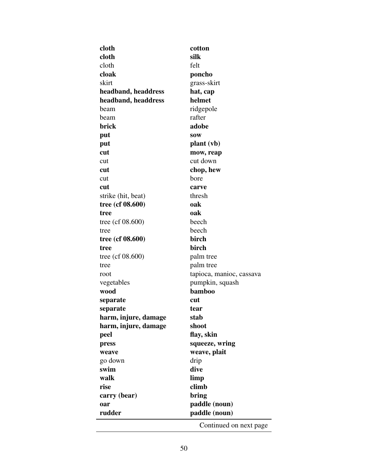| cloth                | cotton                   |
|----------------------|--------------------------|
| cloth                | silk                     |
| cloth                | felt                     |
| cloak                | poncho                   |
| skirt                | grass-skirt              |
| headband, headdress  | hat, cap                 |
| headband, headdress  | helmet                   |
| beam                 | ridgepole                |
| beam                 | rafter                   |
| brick                | adobe                    |
| put                  | <b>SOW</b>               |
| put                  | plant (vb)               |
| cut                  | mow, reap                |
| cut                  | cut down                 |
| cut                  | chop, hew                |
| cut                  | bore                     |
| cut                  | carve                    |
| strike (hit, beat)   | thresh                   |
| tree (cf 08.600)     | oak                      |
| tree                 | oak                      |
| tree (cf $08.600$ )  | beech                    |
| tree                 | beech                    |
| tree (cf 08.600)     | birch                    |
| tree                 | birch                    |
| tree (cf $08.600$ )  | palm tree                |
| tree                 | palm tree                |
| root                 | tapioca, manioc, cassava |
| vegetables           | pumpkin, squash          |
| wood                 | bamboo                   |
| separate             | cut                      |
| separate             | tear                     |
| harm, injure, damage | stab                     |
| harm, injure, damage | shoot                    |
| peel                 | flay, skin               |
| press                | squeeze, wring           |
| weave                | weave, plait             |
| go down              | drip                     |
| swim                 | dive                     |
| walk                 | limp                     |
| rise                 | climb                    |
| carry (bear)         | bring                    |
| oar                  | paddle (noun)            |
| rudder               | paddle (noun)            |
|                      | Continued on next page   |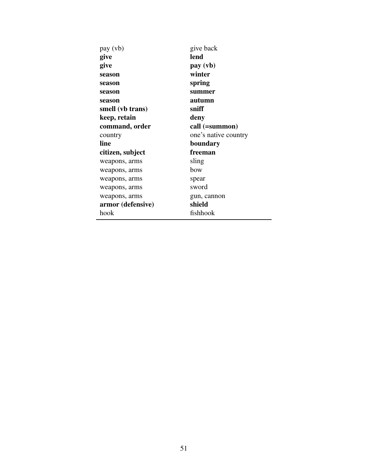| pay (vb)          | give back            |
|-------------------|----------------------|
| give              | lend                 |
| give              | pay (vb)             |
| season            | winter               |
| season            | spring               |
| season            | summer               |
| season            | autumn               |
| smell (vb trans)  | sniff                |
| keep, retain      | deny                 |
| command, order    | call (=summon)       |
| country           | one's native country |
| line              | boundary             |
| citizen, subject  | freeman              |
| weapons, arms     | sling                |
| weapons, arms     | bow                  |
| weapons, arms     | spear                |
| weapons, arms     | sword                |
| weapons, arms     | gun, cannon          |
| armor (defensive) | shield               |
| hook              | fishhook             |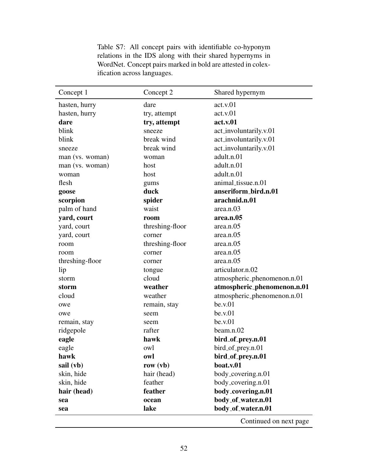| Concept 1       | Concept 2       | Shared hypernym             |
|-----------------|-----------------|-----------------------------|
| hasten, hurry   | dare            | act.v.01                    |
| hasten, hurry   | try, attempt    | act.v.01                    |
| dare            | try, attempt    | act.v.01                    |
| blink           | sneeze          | act_involuntarily.v.01      |
| blink           | break wind      | act_involuntarily.v.01      |
| sneeze          | break wind      | act_involuntarily.v.01      |
| man (vs. woman) | woman           | adult.n.01                  |
| man (vs. woman) | host            | adult.n.01                  |
| woman           | host            | adult.n.01                  |
| flesh           | gums            | animal_tissue.n.01          |
| goose           | duck            | anseriform_bird.n.01        |
| scorpion        | spider          | arachnid.n.01               |
| palm of hand    | waist           | area.n.03                   |
| yard, court     | room            | area.n.05                   |
| yard, court     | threshing-floor | area.n.05                   |
| yard, court     | corner          | area.n.05                   |
| room            | threshing-floor | area.n.05                   |
| room            | corner          | area.n.05                   |
| threshing-floor | corner          | area.n.05                   |
| lip             | tongue          | articulator.n.02            |
| storm           | cloud           | atmospheric_phenomenon.n.01 |
| storm           | weather         | atmospheric_phenomenon.n.01 |
| cloud           | weather         | atmospheric_phenomenon.n.01 |
| owe             | remain, stay    | be.v.01                     |
| owe             | seem            | be.v.01                     |
| remain, stay    | seem            | be.v.01                     |
| ridgepole       | rafter          | beam.n.02                   |
| eagle           | hawk            | bird_of_prey.n.01           |
| eagle           | owl             | bird_of_prey.n.01           |
| hawk            | owl             | bird_of_prey.n.01           |
| sail (vb)       | row $(vb)$      | boat.v.01                   |
| skin, hide      | hair (head)     | body_covering.n.01          |
| skin, hide      | feather         | body_covering.n.01          |
| hair (head)     | feather         | body_covering.n.01          |
| sea             | ocean           | body_of_water.n.01          |
| sea             | lake            | body_of_water.n.01          |
|                 |                 | Continued on next page      |

Table S7: All concept pairs with identifiable co-hyponym relations in the IDS along with their shared hypernyms in WordNet. Concept pairs marked in bold are attested in colexification across languages.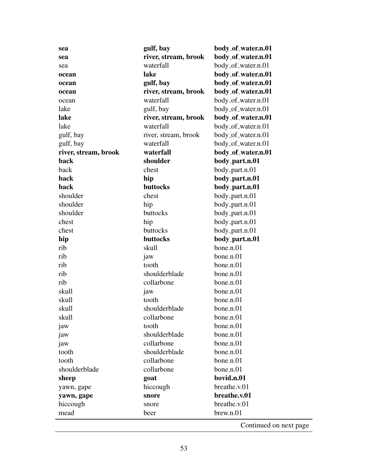| sea                  | gulf, bay            | body_of_water.n.01 |
|----------------------|----------------------|--------------------|
| sea                  | river, stream, brook | body_of_water.n.01 |
| sea                  | waterfall            | body_of_water.n.01 |
| ocean                | lake                 | body_of_water.n.01 |
| ocean                | gulf, bay            | body_of_water.n.01 |
| ocean                | river, stream, brook | body_of_water.n.01 |
| ocean                | waterfall            | body_of_water.n.01 |
| lake                 | gulf, bay            | body_of_water.n.01 |
| lake                 | river, stream, brook | body_of_water.n.01 |
| lake                 | waterfall            | body_of_water.n.01 |
| gulf, bay            | river, stream, brook | body_of_water.n.01 |
| gulf, bay            | waterfall            | body_of_water.n.01 |
| river, stream, brook | waterfall            | body_of_water.n.01 |
| back                 | shoulder             | body_part.n.01     |
| back                 | chest                | body_part.n.01     |
| back                 | hip                  | body_part.n.01     |
| back                 | buttocks             | body_part.n.01     |
| shoulder             | chest                | body_part.n.01     |
| shoulder             | hip                  | body_part.n.01     |
| shoulder             | buttocks             | body_part.n.01     |
| chest                | hip                  | body_part.n.01     |
| chest                | buttocks             | body_part.n.01     |
|                      |                      |                    |
| hip                  | buttocks             | body_part.n.01     |
| rib                  | skull                | bone.n.01          |
| rib                  | jaw                  | bone.n.01          |
| rib                  | tooth                | bone.n.01          |
| rib                  | shoulderblade        | bone.n.01          |
| rib                  | collarbone           | bone.n.01          |
| skull                | jaw                  | bone.n.01          |
| skull                | tooth                | bone.n.01          |
| skull                | shoulderblade        | bone.n.01          |
| skull                | collarbone           | bone.n.01          |
| jaw                  | tooth                | bone.n.01          |
| jaw                  | shoulderblade        | bone.n.01          |
| jaw                  | collarbone           | bone.n.01          |
| tooth                | shoulderblade        | bone.n.01          |
| tooth                | collarbone           | bone.n.01          |
| shoulderblade        | collarbone           | bone.n.01          |
| sheep                | goat                 | bovid.n.01         |
| yawn, gape           | hiccough             | breathe.v.01       |
| yawn, gape           | snore                | breathe.v.01       |
| hiccough             | snore                | breathe.v.01       |
| mead                 | beer                 | brew.n.01          |

53

l.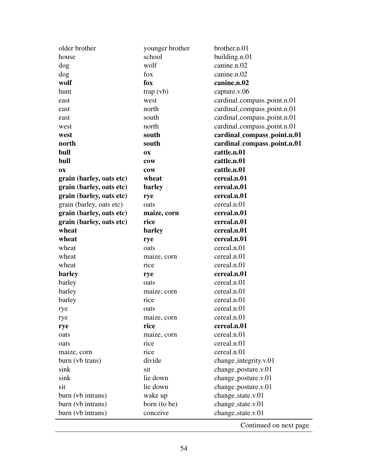| older brother            | younger brother | brother.n.01                |
|--------------------------|-----------------|-----------------------------|
| house                    | school          | building.n.01               |
| dog                      | wolf            | canine.n.02                 |
| dog                      | fox             | canine.n.02                 |
| wolf                     | fox             | canine.n.02                 |
| hunt                     | trap (vb)       | capture.v.06                |
| east                     | west            | cardinal_compass_point.n.01 |
| east                     | north           | cardinal_compass_point.n.01 |
| east                     | south           | cardinal_compass_point.n.01 |
| west                     | north           | cardinal_compass_point.n.01 |
| west                     | south           | cardinal_compass_point.n.01 |
| north                    | south           | cardinal_compass_point.n.01 |
| bull                     | <b>OX</b>       | cattle.n.01                 |
| bull                     | cow             | cattle.n.01                 |
| <b>OX</b>                | cow             | cattle.n.01                 |
| grain (barley, oats etc) | wheat           | cereal.n.01                 |
| grain (barley, oats etc) | barley          | cereal.n.01                 |
| grain (barley, oats etc) | rye             | cereal.n.01                 |
| grain (barley, oats etc) | oats            | cereal.n.01                 |
| grain (barley, oats etc) | maize, corn     | cereal.n.01                 |
| grain (barley, oats etc) | rice            | cereal.n.01                 |
| wheat                    | barley          | cereal.n.01                 |
| wheat                    | rye             | cereal.n.01                 |
| wheat                    | oats            | cereal.n.01                 |
| wheat                    | maize, corn     | cereal.n.01                 |
| wheat                    | rice            | cereal.n.01                 |
| barley                   | rye             | cereal.n.01                 |
| barley                   | oats            | cereal.n.01                 |
| barley                   | maize, corn     | cereal.n.01                 |
| barley                   | rice            | cereal.n.01                 |
| rye                      | oats            | cereal.n.01                 |
| rye                      | maize, corn     | cereal.n.01                 |
| rye                      | rice            | cereal.n.01                 |
| oats                     | maize, corn     | cereal.n.01                 |
| oats                     | rice            | cereal.n.01                 |
| maize, corn              | rice            | cereal.n.01                 |
| burn (vb trans)          | divide          | change_integrity.v.01       |
| sink                     | sit             | change_posture.v.01         |
| sink                     | lie down        | change_posture.v.01         |
| sit                      | lie down        | change_posture.v.01         |
| burn (vb intrans)        | wake up         | change_state.v.01           |
| burn (vb intrans)        | born (to be)    | change_state.v.01           |
| burn (vb intrans)        | conceive        | change_state.v.01           |
|                          |                 |                             |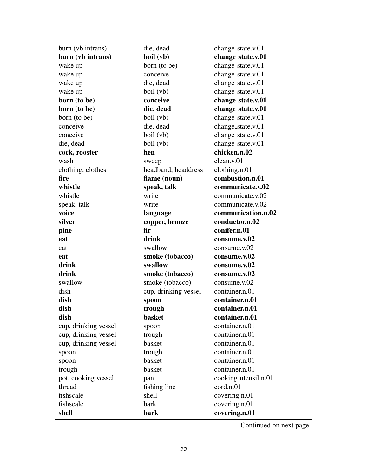| burn (vb intrans)    | die, dead            | change_state.v.01      |
|----------------------|----------------------|------------------------|
| burn (vb intrans)    | boil (vb)            | change_state.v.01      |
| wake up              | born (to be)         | change_state.v.01      |
| wake up              | conceive             | change_state.v.01      |
| wake up              | die, dead            | change_state.v.01      |
| wake up              | boil (vb)            | change_state.v.01      |
| born (to be)         | conceive             | change_state.v.01      |
| born (to be)         | die, dead            | change_state.v.01      |
| born (to be)         | boil (vb)            | change_state.v.01      |
| conceive             | die, dead            | change_state.v.01      |
| conceive             | boil (vb)            | change_state.v.01      |
| die, dead            | boil (vb)            | change_state.v.01      |
| cock, rooster        | hen                  | chicken.n.02           |
| wash                 | sweep                | clean.v.01             |
| clothing, clothes    | headband, headdress  | clothing.n.01          |
| fire                 | flame (noun)         | combustion.n.01        |
| whistle              | speak, talk          | communicate.v.02       |
| whistle              | write                | communicate.v.02       |
| speak, talk          | write                | communicate.v.02       |
| voice                | language             | communication.n.02     |
| silver               | copper, bronze       | conductor.n.02         |
| pine                 | fir                  | conifer.n.01           |
| eat                  | drink                | consume.v.02           |
| eat                  | swallow              | consum. v.02           |
| eat                  | smoke (tobacco)      | consume.v.02           |
| drink                | swallow              | consume.v.02           |
| drink                | smoke (tobacco)      | consume.v.02           |
| swallow              | smoke (tobacco)      | consume.v.02           |
| dish                 | cup, drinking vessel | container.n.01         |
| dish                 | spoon                | container.n.01         |
| dish                 | trough               | container.n.01         |
| dish                 | basket               | container.n.01         |
| cup, drinking vessel | spoon                | container.n.01         |
| cup, drinking vessel | trough               | container.n.01         |
| cup, drinking vessel | basket               | container.n.01         |
| spoon                | trough               | container.n.01         |
| spoon                | basket               | container.n.01         |
| trough               | basket               | container.n.01         |
| pot, cooking vessel  | pan                  | cooking_utensil.n.01   |
| thread               | fishing line         | cord.n.01              |
| fishscale            | shell                | covering.n.01          |
| fishscale            | bark                 | covering.n.01          |
| shell                | bark                 | covering.n.01          |
|                      |                      | Continued on next page |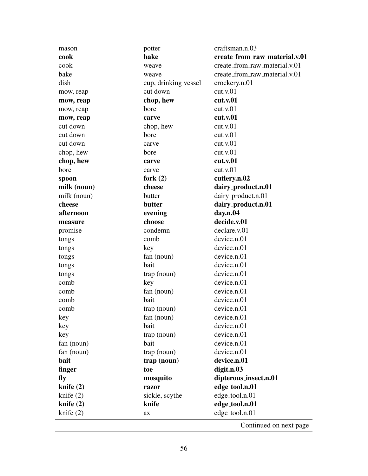| mason       | potter               | craftsman.n.03                |
|-------------|----------------------|-------------------------------|
| cook        | bake                 | create_from_raw_material.v.01 |
| cook        | weave                | create_from_raw_material.v.01 |
| bake        | weave                | create_from_raw_material.v.01 |
| dish        | cup, drinking vessel | crockery.n.01                 |
| mow, reap   | cut down             | cut.v.01                      |
| mow, reap   | chop, hew            | cut.v.01                      |
| mow, reap   | bore                 | cut.v.01                      |
| mow, reap   | carve                | cut.v.01                      |
| cut down    | chop, hew            | cut.v.01                      |
| cut down    | bore                 | cut.v.01                      |
| cut down    | carve                | cut.v.01                      |
| chop, hew   | bore                 | cut.v.01                      |
| chop, hew   | carve                | cut.v.01                      |
| bore        | carve                | cut.v.01                      |
| spoon       | fork $(2)$           | cutlery.n.02                  |
| milk (noun) | cheese               | dairy_product.n.01            |
| milk (noun) | butter               | dairy_product.n.01            |
| cheese      | butter               | dairy_product.n.01            |
| afternoon   | evening              | day.n.04                      |
| measure     | choose               | decide.v.01                   |
| promise     | condemn              | declare.v.01                  |
| tongs       | comb                 | device.n.01                   |
| tongs       | key                  | device.n.01                   |
| tongs       | fan (noun)           | device.n.01                   |
| tongs       | bait                 | device.n.01                   |
| tongs       | $trap$ (noun)        | device.n.01                   |
| comb        | key                  | device.n.01                   |
| comb        | fan (noun)           | device.n.01                   |
| comb        | bait                 | device.n.01                   |
| comb        | trap (noun)          | device.n.01                   |
| key         | fan (noun)           | device.n.01                   |
| key         | bait                 | device.n.01                   |
| key         | trap (noun)          | device.n.01                   |
| fan (noun)  | bait                 | device.n.01                   |
| fan (noun)  | trap (noun)          | device.n.01                   |
| bait        | trap (noun)          | device.n.01                   |
| finger      | toe                  | digit.n.03                    |
| fly         | mosquito             | dipterous_insect.n.01         |
| knife $(2)$ | razor                | edge_tool.n.01                |
| knife $(2)$ | sickle, scythe       | edge_tool.n.01                |
| knife $(2)$ | knife                | edge_tool.n.01                |
| knife $(2)$ | ax                   | edge_tool.n.01                |
|             |                      |                               |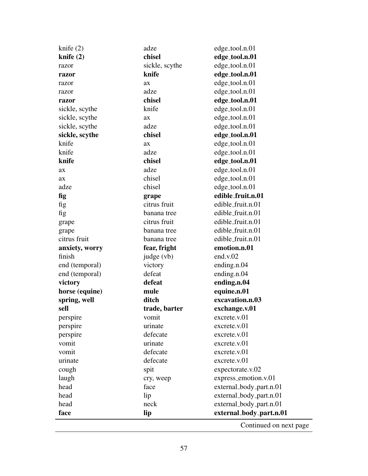| chisel<br>knife $(2)$<br>edge_tool.n.01<br>sickle, scythe<br>edge_tool.n.01<br>razor<br>knife<br>edge_tool.n.01<br>razor<br>edge_tool.n.01<br>ax<br>razor<br>adze<br>edge_tool.n.01<br>razor<br>chisel<br>edge_tool.n.01<br>razor<br>knife<br>edge_tool.n.01<br>sickle, scythe<br>edge_tool.n.01<br>sickle, scythe<br>ax<br>edge_tool.n.01<br>sickle, scythe<br>adze<br>chisel<br>sickle, scythe<br>edge_tool.n.01<br>knife<br>edge_tool.n.01<br>ax<br>knife<br>adze<br>edge_tool.n.01<br>chisel<br>knife<br>edge_tool.n.01<br>adze<br>edge_tool.n.01<br>ax<br>chisel<br>edge_tool.n.01<br>ax<br>chisel<br>adze<br>edge_tool.n.01<br>edible_fruit.n.01<br>fig<br>grape<br>citrus fruit<br>edible_fruit.n.01<br>fig<br>edible_fruit.n.01<br>fig<br>banana tree<br>citrus fruit<br>edible_fruit.n.01<br>grape<br>edible_fruit.n.01<br>banana tree<br>grape<br>edible_fruit.n.01<br>citrus fruit<br>banana tree<br>emotion.n.01<br>fear, fright<br>anxiety, worry<br>finish<br>judge (vb)<br>end.v. $02$<br>ending.n.04<br>end (temporal)<br>victory<br>defeat<br>ending.n.04<br>end (temporal)<br>defeat<br>ending.n.04<br>victory<br>mule<br>equine.n.01<br>horse (equine)<br>excavation.n.03<br>spring, well<br>ditch<br>exchange.v.01<br>sell<br>trade, barter<br>vomit<br>excrete.v.01<br>perspire<br>urinate<br>excrete.v.01<br>perspire<br>perspire<br>defecate<br>excrete.v.01<br>vomit<br>urinate<br>excrete.v.01<br>defecate<br>vomit<br>excrete.v.01<br>defecate<br>excrete.v.01<br>urinate<br>spit<br>expectorate.v.02<br>cough<br>laugh<br>express_emotion.v.01<br>cry, weep<br>head<br>external_body_part.n.01<br>face<br>external_body_part.n.01<br>head<br>lip<br>neck<br>external_body_part.n.01<br>head<br>external_body_part.n.01<br>face<br>lip | knife $(2)$ | adze | edge_tool.n.01 |
|------------------------------------------------------------------------------------------------------------------------------------------------------------------------------------------------------------------------------------------------------------------------------------------------------------------------------------------------------------------------------------------------------------------------------------------------------------------------------------------------------------------------------------------------------------------------------------------------------------------------------------------------------------------------------------------------------------------------------------------------------------------------------------------------------------------------------------------------------------------------------------------------------------------------------------------------------------------------------------------------------------------------------------------------------------------------------------------------------------------------------------------------------------------------------------------------------------------------------------------------------------------------------------------------------------------------------------------------------------------------------------------------------------------------------------------------------------------------------------------------------------------------------------------------------------------------------------------------------------------------------------------------------------------------------------------------------------------------------------------------------------------|-------------|------|----------------|
|                                                                                                                                                                                                                                                                                                                                                                                                                                                                                                                                                                                                                                                                                                                                                                                                                                                                                                                                                                                                                                                                                                                                                                                                                                                                                                                                                                                                                                                                                                                                                                                                                                                                                                                                                                  |             |      |                |
|                                                                                                                                                                                                                                                                                                                                                                                                                                                                                                                                                                                                                                                                                                                                                                                                                                                                                                                                                                                                                                                                                                                                                                                                                                                                                                                                                                                                                                                                                                                                                                                                                                                                                                                                                                  |             |      |                |
|                                                                                                                                                                                                                                                                                                                                                                                                                                                                                                                                                                                                                                                                                                                                                                                                                                                                                                                                                                                                                                                                                                                                                                                                                                                                                                                                                                                                                                                                                                                                                                                                                                                                                                                                                                  |             |      |                |
|                                                                                                                                                                                                                                                                                                                                                                                                                                                                                                                                                                                                                                                                                                                                                                                                                                                                                                                                                                                                                                                                                                                                                                                                                                                                                                                                                                                                                                                                                                                                                                                                                                                                                                                                                                  |             |      |                |
|                                                                                                                                                                                                                                                                                                                                                                                                                                                                                                                                                                                                                                                                                                                                                                                                                                                                                                                                                                                                                                                                                                                                                                                                                                                                                                                                                                                                                                                                                                                                                                                                                                                                                                                                                                  |             |      |                |
|                                                                                                                                                                                                                                                                                                                                                                                                                                                                                                                                                                                                                                                                                                                                                                                                                                                                                                                                                                                                                                                                                                                                                                                                                                                                                                                                                                                                                                                                                                                                                                                                                                                                                                                                                                  |             |      |                |
|                                                                                                                                                                                                                                                                                                                                                                                                                                                                                                                                                                                                                                                                                                                                                                                                                                                                                                                                                                                                                                                                                                                                                                                                                                                                                                                                                                                                                                                                                                                                                                                                                                                                                                                                                                  |             |      |                |
|                                                                                                                                                                                                                                                                                                                                                                                                                                                                                                                                                                                                                                                                                                                                                                                                                                                                                                                                                                                                                                                                                                                                                                                                                                                                                                                                                                                                                                                                                                                                                                                                                                                                                                                                                                  |             |      |                |
|                                                                                                                                                                                                                                                                                                                                                                                                                                                                                                                                                                                                                                                                                                                                                                                                                                                                                                                                                                                                                                                                                                                                                                                                                                                                                                                                                                                                                                                                                                                                                                                                                                                                                                                                                                  |             |      |                |
|                                                                                                                                                                                                                                                                                                                                                                                                                                                                                                                                                                                                                                                                                                                                                                                                                                                                                                                                                                                                                                                                                                                                                                                                                                                                                                                                                                                                                                                                                                                                                                                                                                                                                                                                                                  |             |      |                |
|                                                                                                                                                                                                                                                                                                                                                                                                                                                                                                                                                                                                                                                                                                                                                                                                                                                                                                                                                                                                                                                                                                                                                                                                                                                                                                                                                                                                                                                                                                                                                                                                                                                                                                                                                                  |             |      |                |
|                                                                                                                                                                                                                                                                                                                                                                                                                                                                                                                                                                                                                                                                                                                                                                                                                                                                                                                                                                                                                                                                                                                                                                                                                                                                                                                                                                                                                                                                                                                                                                                                                                                                                                                                                                  |             |      |                |
|                                                                                                                                                                                                                                                                                                                                                                                                                                                                                                                                                                                                                                                                                                                                                                                                                                                                                                                                                                                                                                                                                                                                                                                                                                                                                                                                                                                                                                                                                                                                                                                                                                                                                                                                                                  |             |      |                |
|                                                                                                                                                                                                                                                                                                                                                                                                                                                                                                                                                                                                                                                                                                                                                                                                                                                                                                                                                                                                                                                                                                                                                                                                                                                                                                                                                                                                                                                                                                                                                                                                                                                                                                                                                                  |             |      |                |
|                                                                                                                                                                                                                                                                                                                                                                                                                                                                                                                                                                                                                                                                                                                                                                                                                                                                                                                                                                                                                                                                                                                                                                                                                                                                                                                                                                                                                                                                                                                                                                                                                                                                                                                                                                  |             |      |                |
|                                                                                                                                                                                                                                                                                                                                                                                                                                                                                                                                                                                                                                                                                                                                                                                                                                                                                                                                                                                                                                                                                                                                                                                                                                                                                                                                                                                                                                                                                                                                                                                                                                                                                                                                                                  |             |      |                |
|                                                                                                                                                                                                                                                                                                                                                                                                                                                                                                                                                                                                                                                                                                                                                                                                                                                                                                                                                                                                                                                                                                                                                                                                                                                                                                                                                                                                                                                                                                                                                                                                                                                                                                                                                                  |             |      |                |
|                                                                                                                                                                                                                                                                                                                                                                                                                                                                                                                                                                                                                                                                                                                                                                                                                                                                                                                                                                                                                                                                                                                                                                                                                                                                                                                                                                                                                                                                                                                                                                                                                                                                                                                                                                  |             |      |                |
|                                                                                                                                                                                                                                                                                                                                                                                                                                                                                                                                                                                                                                                                                                                                                                                                                                                                                                                                                                                                                                                                                                                                                                                                                                                                                                                                                                                                                                                                                                                                                                                                                                                                                                                                                                  |             |      |                |
|                                                                                                                                                                                                                                                                                                                                                                                                                                                                                                                                                                                                                                                                                                                                                                                                                                                                                                                                                                                                                                                                                                                                                                                                                                                                                                                                                                                                                                                                                                                                                                                                                                                                                                                                                                  |             |      |                |
|                                                                                                                                                                                                                                                                                                                                                                                                                                                                                                                                                                                                                                                                                                                                                                                                                                                                                                                                                                                                                                                                                                                                                                                                                                                                                                                                                                                                                                                                                                                                                                                                                                                                                                                                                                  |             |      |                |
|                                                                                                                                                                                                                                                                                                                                                                                                                                                                                                                                                                                                                                                                                                                                                                                                                                                                                                                                                                                                                                                                                                                                                                                                                                                                                                                                                                                                                                                                                                                                                                                                                                                                                                                                                                  |             |      |                |
|                                                                                                                                                                                                                                                                                                                                                                                                                                                                                                                                                                                                                                                                                                                                                                                                                                                                                                                                                                                                                                                                                                                                                                                                                                                                                                                                                                                                                                                                                                                                                                                                                                                                                                                                                                  |             |      |                |
|                                                                                                                                                                                                                                                                                                                                                                                                                                                                                                                                                                                                                                                                                                                                                                                                                                                                                                                                                                                                                                                                                                                                                                                                                                                                                                                                                                                                                                                                                                                                                                                                                                                                                                                                                                  |             |      |                |
|                                                                                                                                                                                                                                                                                                                                                                                                                                                                                                                                                                                                                                                                                                                                                                                                                                                                                                                                                                                                                                                                                                                                                                                                                                                                                                                                                                                                                                                                                                                                                                                                                                                                                                                                                                  |             |      |                |
|                                                                                                                                                                                                                                                                                                                                                                                                                                                                                                                                                                                                                                                                                                                                                                                                                                                                                                                                                                                                                                                                                                                                                                                                                                                                                                                                                                                                                                                                                                                                                                                                                                                                                                                                                                  |             |      |                |
|                                                                                                                                                                                                                                                                                                                                                                                                                                                                                                                                                                                                                                                                                                                                                                                                                                                                                                                                                                                                                                                                                                                                                                                                                                                                                                                                                                                                                                                                                                                                                                                                                                                                                                                                                                  |             |      |                |
|                                                                                                                                                                                                                                                                                                                                                                                                                                                                                                                                                                                                                                                                                                                                                                                                                                                                                                                                                                                                                                                                                                                                                                                                                                                                                                                                                                                                                                                                                                                                                                                                                                                                                                                                                                  |             |      |                |
|                                                                                                                                                                                                                                                                                                                                                                                                                                                                                                                                                                                                                                                                                                                                                                                                                                                                                                                                                                                                                                                                                                                                                                                                                                                                                                                                                                                                                                                                                                                                                                                                                                                                                                                                                                  |             |      |                |
|                                                                                                                                                                                                                                                                                                                                                                                                                                                                                                                                                                                                                                                                                                                                                                                                                                                                                                                                                                                                                                                                                                                                                                                                                                                                                                                                                                                                                                                                                                                                                                                                                                                                                                                                                                  |             |      |                |
|                                                                                                                                                                                                                                                                                                                                                                                                                                                                                                                                                                                                                                                                                                                                                                                                                                                                                                                                                                                                                                                                                                                                                                                                                                                                                                                                                                                                                                                                                                                                                                                                                                                                                                                                                                  |             |      |                |
|                                                                                                                                                                                                                                                                                                                                                                                                                                                                                                                                                                                                                                                                                                                                                                                                                                                                                                                                                                                                                                                                                                                                                                                                                                                                                                                                                                                                                                                                                                                                                                                                                                                                                                                                                                  |             |      |                |
|                                                                                                                                                                                                                                                                                                                                                                                                                                                                                                                                                                                                                                                                                                                                                                                                                                                                                                                                                                                                                                                                                                                                                                                                                                                                                                                                                                                                                                                                                                                                                                                                                                                                                                                                                                  |             |      |                |
|                                                                                                                                                                                                                                                                                                                                                                                                                                                                                                                                                                                                                                                                                                                                                                                                                                                                                                                                                                                                                                                                                                                                                                                                                                                                                                                                                                                                                                                                                                                                                                                                                                                                                                                                                                  |             |      |                |
|                                                                                                                                                                                                                                                                                                                                                                                                                                                                                                                                                                                                                                                                                                                                                                                                                                                                                                                                                                                                                                                                                                                                                                                                                                                                                                                                                                                                                                                                                                                                                                                                                                                                                                                                                                  |             |      |                |
|                                                                                                                                                                                                                                                                                                                                                                                                                                                                                                                                                                                                                                                                                                                                                                                                                                                                                                                                                                                                                                                                                                                                                                                                                                                                                                                                                                                                                                                                                                                                                                                                                                                                                                                                                                  |             |      |                |
|                                                                                                                                                                                                                                                                                                                                                                                                                                                                                                                                                                                                                                                                                                                                                                                                                                                                                                                                                                                                                                                                                                                                                                                                                                                                                                                                                                                                                                                                                                                                                                                                                                                                                                                                                                  |             |      |                |
|                                                                                                                                                                                                                                                                                                                                                                                                                                                                                                                                                                                                                                                                                                                                                                                                                                                                                                                                                                                                                                                                                                                                                                                                                                                                                                                                                                                                                                                                                                                                                                                                                                                                                                                                                                  |             |      |                |
|                                                                                                                                                                                                                                                                                                                                                                                                                                                                                                                                                                                                                                                                                                                                                                                                                                                                                                                                                                                                                                                                                                                                                                                                                                                                                                                                                                                                                                                                                                                                                                                                                                                                                                                                                                  |             |      |                |
|                                                                                                                                                                                                                                                                                                                                                                                                                                                                                                                                                                                                                                                                                                                                                                                                                                                                                                                                                                                                                                                                                                                                                                                                                                                                                                                                                                                                                                                                                                                                                                                                                                                                                                                                                                  |             |      |                |
|                                                                                                                                                                                                                                                                                                                                                                                                                                                                                                                                                                                                                                                                                                                                                                                                                                                                                                                                                                                                                                                                                                                                                                                                                                                                                                                                                                                                                                                                                                                                                                                                                                                                                                                                                                  |             |      |                |
|                                                                                                                                                                                                                                                                                                                                                                                                                                                                                                                                                                                                                                                                                                                                                                                                                                                                                                                                                                                                                                                                                                                                                                                                                                                                                                                                                                                                                                                                                                                                                                                                                                                                                                                                                                  |             |      |                |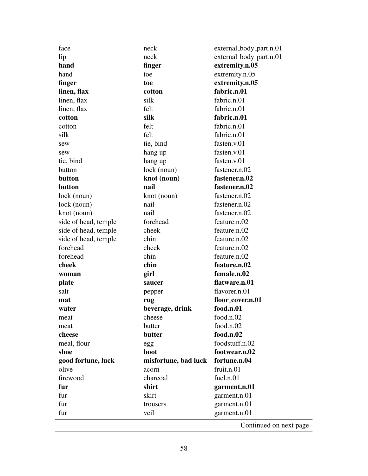| face                 | neck                 | external_body_part.n.01 |
|----------------------|----------------------|-------------------------|
| lip                  | neck                 | external_body_part.n.01 |
| hand                 | finger               | extremity.n.05          |
| hand                 | toe                  | extremity.n.05          |
| finger               | toe                  | extremity.n.05          |
| linen, flax          | cotton               | fabric.n.01             |
| linen, flax          | silk                 | fabric.n.01             |
| linen, flax          | felt                 | fabric.n.01             |
| cotton               | silk                 | fabric.n.01             |
| cotton               | felt                 | fabric.n.01             |
| silk                 | felt                 | fabric.n.01             |
| sew                  | tie, bind            | fasten.v.01             |
| sew                  | hang up              | fasten.v.01             |
| tie, bind            | hang up              | fasten.v.01             |
| button               | lock (noun)          | fastener.n.02           |
| button               | knot (noun)          | fastener.n.02           |
| button               | nail                 | fastener.n.02           |
| lock (noun)          | knot (noun)          | fastener.n.02           |
| $lock$ (noun)        | nail                 | fastener.n.02           |
| knot (noun)          | nail                 | fastener.n.02           |
| side of head, temple | forehead             | feature.n.02            |
| side of head, temple | cheek                | feature.n.02            |
| side of head, temple | chin                 | feature.n.02            |
| forehead             | cheek                | feature.n.02            |
| forehead             | chin                 | feature.n.02            |
| cheek                | chin                 | feature.n.02            |
| woman                | girl                 | female.n.02             |
| plate                | saucer               | flatware.n.01           |
| salt                 | pepper               | flavorer.n.01           |
| mat                  | rug                  | floor_cover.n.01        |
| water                | beverage, drink      | food.n.01               |
| meat                 | cheese               | food.n.02               |
| meat                 | butter               | food.n.02               |
| cheese               | butter               | food.n.02               |
| meal, flour          | egg                  | foodstuff.n.02          |
| shoe                 | boot                 | footwear.n.02           |
| good fortune, luck   | misfortune, bad luck | fortune.n.04            |
| olive                | acorn                | fruit.n.01              |
| firewood             | charcoal             | fuel.n.01               |
| fur                  | shirt                | garment.n.01            |
| fur                  | skirt                | garment.n.01            |
| fur                  | trousers             | garment.n.01            |
| fur                  | veil                 | garment.n.01            |
|                      |                      | Continued on next page  |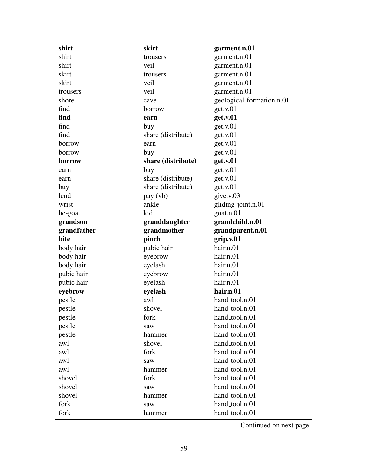| shirt       | skirt              | garment.n.01              |
|-------------|--------------------|---------------------------|
| shirt       | trousers           | garment.n.01              |
| shirt       | veil               | garment.n.01              |
| skirt       | trousers           | garment.n.01              |
| skirt       | veil               | garment.n.01              |
| trousers    | veil               | garment.n.01              |
| shore       | cave               | geological_formation.n.01 |
| find        | borrow             | get.v.01                  |
| find        | earn               | get.v.01                  |
| find        | buy                | get.v.01                  |
| find        | share (distribute) | get.v.01                  |
| borrow      | earn               | get.v.01                  |
| borrow      | buy                | get.v.01                  |
| borrow      | share (distribute) | get.v.01                  |
| earn        | buy                | get.v.01                  |
| earn        | share (distribute) | get.v.01                  |
| buy         | share (distribute) | get.v.01                  |
| lend        | pay (vb)           | give.v.03                 |
| wrist       | ankle              | gliding_joint.n.01        |
| he-goat     | kid                | goat.n.01                 |
| grandson    | granddaughter      | grandchild.n.01           |
| grandfather | grandmother        | grandparent.n.01          |
| bite        | pinch              | grip.v.01                 |
| body hair   | pubic hair         | hair.n.01                 |
| body hair   | eyebrow            | hair.n.01                 |
| body hair   | eyelash            | hair.n.01                 |
| pubic hair  | eyebrow            | hair.n.01                 |
| pubic hair  | eyelash            | hair.n.01                 |
| eyebrow     | eyelash            | hair.n.01                 |
| pestle      | awl                | hand_tool.n.01            |
| pestle      | shovel             | hand_tool.n.01            |
| pestle      | fork               | hand_tool.n.01            |
| pestle      | saw                | hand_tool.n.01            |
| pestle      | hammer             | hand_tool.n.01            |
| awl         | shovel             | hand_tool.n.01            |
| awl         | fork               | hand_tool.n.01            |
| awl         | saw                | hand_tool.n.01            |
| awl         | hammer             | hand_tool.n.01            |
| shovel      | fork               | hand_tool.n.01            |
| shovel      | saw                | hand_tool.n.01            |
| shovel      | hammer             | hand_tool.n.01            |
| fork        |                    | hand_tool.n.01            |
|             | saw                |                           |
| fork        | hammer             | hand_tool.n.01            |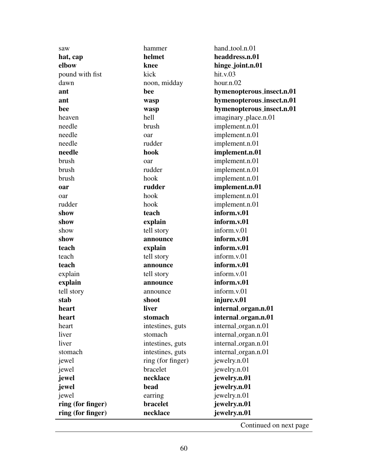| saw               | hammer            | hand_tool.n.01            |
|-------------------|-------------------|---------------------------|
| hat, cap          | helmet            | headdress.n.01            |
| elbow             | knee              | hinge_joint.n.01          |
| pound with fist   | kick              | hit.v.03                  |
| dawn              | noon, midday      | hour.n.02                 |
| ant               | bee               | hymenopterous_insect.n.01 |
| ant               | wasp              | hymenopterous_insect.n.01 |
| bee               | wasp              | hymenopterous_insect.n.01 |
| heaven            | hell              | imaginary_place.n.01      |
| needle            | brush             | implement.n.01            |
| needle            | oar               | implement.n.01            |
| needle            | rudder            | implement.n.01            |
| needle            | hook              | implement.n.01            |
| brush             | oar               | implement.n.01            |
| brush             | rudder            | implement.n.01            |
| brush             | hook              | implement.n.01            |
| oar               | rudder            | implement.n.01            |
| oar               | hook              | implement.n.01            |
| rudder            | hook              | implement.n.01            |
| show              | teach             | inform.v.01               |
| show              | explain           | inform.v.01               |
| show              | tell story        | inform.v.01               |
| show              | announce          | inform.v.01               |
| teach             | explain           | inform.v.01               |
| teach             | tell story        | inform.v.01               |
| teach             | announce          | inform.v.01               |
| explain           | tell story        | inform.v.01               |
| explain           | announce          | inform.v.01               |
| tell story        | announce          | inform.v.01               |
| stab              | shoot             | injure.v.01               |
| heart             | liver             | internal_organ.n.01       |
| heart             | stomach           | internal_organ.n.01       |
| heart             | intestines, guts  | internal_organ.n.01       |
| liver             | stomach           | internal_organ.n.01       |
| liver             | intestines, guts  | internal_organ.n.01       |
| stomach           | intestines, guts  | internal_organ.n.01       |
| jewel             | ring (for finger) | jewelry.n.01              |
| jewel             | bracelet          | jewelry.n.01              |
| jewel             | necklace          | jewelry.n.01              |
| jewel             | bead              | jewelry.n.01              |
| jewel             | earring           | jewelry.n.01              |
| ring (for finger) | bracelet          | jewelry.n.01              |
| ring (for finger) | necklace          | jewelry.n.01              |
|                   |                   |                           |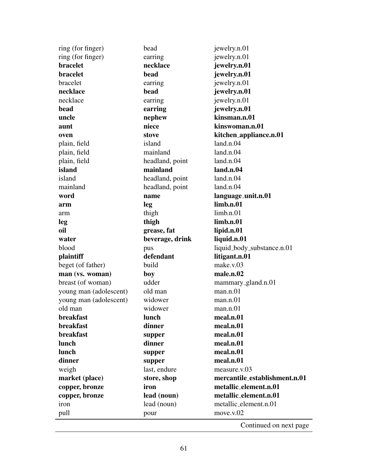| ring (for finger)      | bead            | jewelry.n.01                  |
|------------------------|-----------------|-------------------------------|
| ring (for finger)      | earring         | jewelry.n.01                  |
| <b>bracelet</b>        | necklace        | jewelry.n.01                  |
| bracelet               | bead            | jewelry.n.01                  |
| bracelet               | earring         | jewelry.n.01                  |
| necklace               | bead            | jewelry.n.01                  |
| necklace               | earring         | jewelry.n.01                  |
| bead                   | earring         | jewelry.n.01                  |
| uncle                  | nephew          | kinsman.n.01                  |
| aunt                   | niece           | kinswoman.n.01                |
| oven                   | stove           | kitchen_appliance.n.01        |
| plain, field           | island          | land.n.04                     |
| plain, field           | mainland        | land.n.04                     |
| plain, field           | headland, point | land.n.04                     |
| island                 | mainland        | land.n.04                     |
| island                 | headland, point | land.n.04                     |
| mainland               | headland, point | land.n.04                     |
| word                   | name            | language_unit.n.01            |
| arm                    | leg             | limb.n.01                     |
| arm                    | thigh           | limb.n.01                     |
| leg                    | thigh           | limb.n.01                     |
| oil                    | grease, fat     | lipid.n.01                    |
| water                  | beverage, drink | liquid.n.01                   |
| blood                  | pus             | liquid_body_substance.n.01    |
| plaintiff              | defendant       | litigant.n.01                 |
| beget (of father)      | build           | make.v.03                     |
| man (vs. woman)        | boy             | male.n.02                     |
| breast (of woman)      | udder           | mammary_gland.n.01            |
| young man (adolescent) | old man         | man.n.01                      |
| young man (adolescent) | widower         | man.n.01                      |
| old man                | widower         | man.n.01                      |
| breakfast              | lunch           | meal.n.01                     |
| breakfast              | dinner          | meal.n.01                     |
| breakfast              | supper          | meal.n.01                     |
| lunch                  | dinner          | meal.n.01                     |
| lunch                  | supper          | meal.n.01                     |
| dinner                 | supper          | meal.n.01                     |
| weigh                  | last, endure    | measure.v.03                  |
| market (place)         | store, shop     | mercantile_establishment.n.01 |
| copper, bronze         | iron            | metallic_element.n.01         |
| copper, bronze         | lead (noun)     | metallic_element.n.01         |
| iron                   | lead (noun)     | metallic_element.n.01         |
| pull                   | pour            | move.v.02                     |
|                        |                 |                               |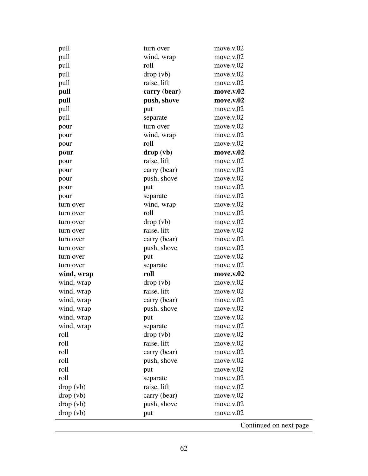| pull       | turn over    | move.v.02              |
|------------|--------------|------------------------|
| pull       | wind, wrap   | move.v.02              |
| pull       | roll         | move.v.02              |
| pull       | drop (vb)    | move.v.02              |
| pull       | raise, lift  | move.v.02              |
| pull       | carry (bear) | move.v.02              |
| pull       | push, shove  | move.v.02              |
| pull       | put          | move.v.02              |
| pull       | separate     | move.v.02              |
| pour       | turn over    | move.v.02              |
| pour       | wind, wrap   | move.v.02              |
| pour       | roll         | move.v.02              |
| pour       | drop (vb)    | move.v.02              |
| pour       | raise, lift  | move.v.02              |
| pour       | carry (bear) | move.v.02              |
| pour       | push, shove  | move.v.02              |
| pour       | put          | move.v.02              |
| pour       | separate     | move.v.02              |
| turn over  | wind, wrap   | move.v.02              |
| turn over  | roll         | move.v.02              |
| turn over  | drop (vb)    | move.v.02              |
| turn over  | raise, lift  | move.v.02              |
| turn over  | carry (bear) | move.v.02              |
| turn over  | push, shove  | move.v.02              |
| turn over  | put          | move.v.02              |
| turn over  | separate     | move.v.02              |
| wind, wrap | roll         | move.v.02              |
| wind, wrap | drop (vb)    | move.v.02              |
| wind, wrap | raise, lift  | move.v.02              |
| wind, wrap | carry (bear) | move.v.02              |
| wind, wrap | push, shove  | move.v.02              |
| wind, wrap | put          | move.v.02              |
| wind, wrap | separate     | move.v.02              |
| roll       | drop (vb)    | move.v.02              |
| roll       | raise, lift  | move.v.02              |
| roll       | carry (bear) | move.v.02              |
| roll       | push, shove  | move.v.02              |
| roll       | put          | move.v.02              |
| roll       | separate     | move.v.02              |
| drop (vb)  | raise, lift  | move.v.02              |
| drop (vb)  | carry (bear) | move.v.02              |
| drop (vb)  | push, shove  | move.v.02              |
| drop (vb)  | put          | move.v.02              |
|            |              | Continued on next page |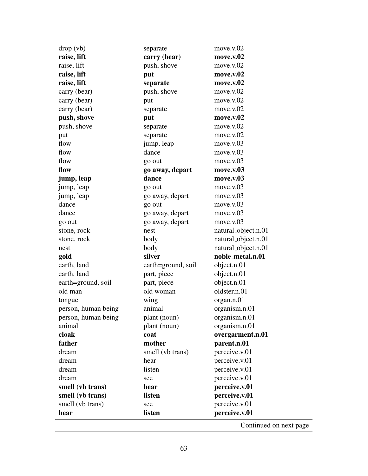| drop (vb)           | separate           | move.v.02           |
|---------------------|--------------------|---------------------|
| raise, lift         | carry (bear)       | move.v.02           |
| raise, lift         | push, shove        | move.v.02           |
| raise, lift         | put                | move.v.02           |
| raise, lift         | separate           | move.v.02           |
| carry (bear)        | push, shove        | move.v.02           |
| carry (bear)        | put                | move.v.02           |
| carry (bear)        | separate           | move.v.02           |
| push, shove         | put                | move.v.02           |
| push, shove         | separate           | move.v.02           |
| put                 | separate           | move.v.02           |
| flow                | jump, leap         | move.v.03           |
| flow                | dance              | move.v.03           |
| flow                | go out             | move.v.03           |
| flow                | go away, depart    | move.v.03           |
| jump, leap          | dance              | move.v.03           |
| jump, leap          | go out             | move.v.03           |
| jump, leap          | go away, depart    | move.v.03           |
| dance               | go out             | move.v.03           |
| dance               | go away, depart    | move.v.03           |
| go out              | go away, depart    | move.v.03           |
| stone, rock         | nest               | natural_object.n.01 |
| stone, rock         | body               | natural_object.n.01 |
| nest                | body               | natural_object.n.01 |
| gold                | silver             | noble_metal.n.01    |
| earth, land         | earth=ground, soil | object.n.01         |
| earth, land         | part, piece        | object.n.01         |
| earth=ground, soil  | part, piece        | object.n.01         |
| old man             | old woman          | oldster.n.01        |
| tongue              | wing               | organ.n.01          |
| person, human being | animal             | organism.n.01       |
| person, human being | plant (noun)       | organism.n.01       |
| animal              | plant (noun)       | organism.n.01       |
| cloak               | coat               | overgarment.n.01    |
| father              | mother             | parent.n.01         |
| dream               | smell (vb trans)   | perceive.v.01       |
| dream               | hear               | perceive.v.01       |
| dream               | listen             | perceive.v.01       |
| dream               | see                | perceive.v.01       |
| smell (vb trans)    | hear               | perceive.v.01       |
| smell (vb trans)    | listen             | perceive.v.01       |
| smell (vb trans)    | see                | perceive.v.01       |
| hear                | listen             | perceive.v.01       |
|                     |                    |                     |

l.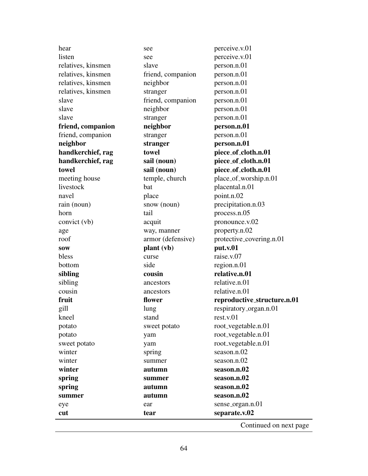| hear               | see               | perceive.v.01               |
|--------------------|-------------------|-----------------------------|
| listen             | see               | perceive.v.01               |
| relatives, kinsmen | slave             | person.n.01                 |
| relatives, kinsmen | friend, companion | person.n.01                 |
| relatives, kinsmen | neighbor          | person.n.01                 |
| relatives, kinsmen | stranger          | person.n.01                 |
| slave              | friend, companion | person.n.01                 |
| slave              | neighbor          | person.n.01                 |
| slave              | stranger          | person.n.01                 |
| friend, companion  | neighbor          | person.n.01                 |
| friend, companion  | stranger          | person.n.01                 |
| neighbor           | stranger          | person.n.01                 |
| handkerchief, rag  | towel             | piece_of_cloth.n.01         |
| handkerchief, rag  | sail (noun)       | piece_of_cloth.n.01         |
| towel              | sail (noun)       | piece_of_cloth.n.01         |
| meeting house      | temple, church    | place_of_worship.n.01       |
| livestock          | bat               | placental.n.01              |
| navel              | place             | point.n.02                  |
| rain (noun)        | snow (noun)       | precipitation.n.03          |
| horn               | tail              | process.n.05                |
| convict (vb)       | acquit            | pronounce.v.02              |
| age                | way, manner       | property.n.02               |
| roof               | armor (defensive) | protective_covering.n.01    |
| <b>SOW</b>         | plant (vb)        | put.v.01                    |
| bless              | curse             | raise.v.07                  |
| bottom             | side              | region.n.01                 |
| sibling            | cousin            | relative.n.01               |
| sibling            | ancestors         | relative.n.01               |
| cousin             | ancestors         | relative.n.01               |
| fruit              | flower            | reproductive_structure.n.01 |
| gill               | lung              | respiratory_organ.n.01      |
| kneel              | stand             | rest.v.01                   |
| potato             | sweet potato      | root_vegetable.n.01         |
| potato             | yam               | root_vegetable.n.01         |
| sweet potato       | yam               | root_vegetable.n.01         |
| winter             | spring            | season.n.02                 |
| winter             | summer            | season.n.02                 |
| winter             | autumn            | season.n.02                 |
| spring             | summer            | season.n.02                 |
| spring             | autumn            | season.n.02                 |
| summer             | autumn            | season.n.02                 |
| eye                | ear               | sense_organ.n.01            |
| cut                | tear              | separate.v.02               |
|                    |                   |                             |

 $\overline{a}$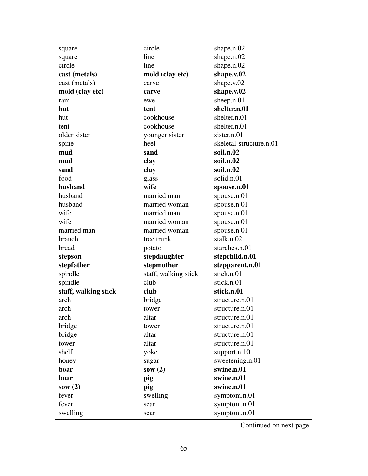| square               | circle               | shape.n.02              |
|----------------------|----------------------|-------------------------|
| square               | line                 | shape.n.02              |
| circle               | line                 | shape.n.02              |
| cast (metals)        | mold (clay etc)      | shape.v.02              |
| cast (metals)        | carve                | shape.v.02              |
| mold (clay etc)      | carve                | shape.v.02              |
| ram                  | ewe                  | sheep.n.01              |
| hut                  | tent                 | shelter.n.01            |
| hut                  | cookhouse            | shelter.n.01            |
| tent                 | cookhouse            | shelter.n.01            |
| older sister         | younger sister       | sister.n.01             |
| spine                | heel                 | skeletal_structure.n.01 |
| mud                  | sand                 | soil.n.02               |
| mud                  | clay                 | soil.n.02               |
| sand                 | clay                 | soil.n.02               |
| food                 | glass                | solid.n.01              |
| husband              | wife                 | spouse.n.01             |
| husband              | married man          | spouse.n.01             |
| husband              | married woman        | spouse.n.01             |
| wife                 | married man          | spouse.n.01             |
| wife                 | married woman        | spouse.n.01             |
| married man          | married woman        | spouse.n.01             |
| branch               | tree trunk           | stalk.n.02              |
| bread                | potato               | starches.n.01           |
| stepson              | stepdaughter         | stepchild.n.01          |
|                      |                      |                         |
| stepfather           | stepmother           | stepparent.n.01         |
| spindle              | staff, walking stick | stick.n.01              |
| spindle              | club                 | stick.n.01              |
| staff, walking stick | club                 | stick.n.01              |
| arch                 | bridge               | structure.n.01          |
| arch                 | tower                | structure.n.01          |
| arch                 | altar                | structure.n.01          |
| bridge               | tower                | structure.n.01          |
| bridge               | altar                | structure.n.01          |
| tower                | altar                | structure.n.01          |
| shelf                | yoke                 | support.n.10            |
| honey                | sugar                | sweetening.n.01         |
| boar                 | sow $(2)$            | swine.n.01              |
| boar                 | pig                  | swine.n.01              |
| sow $(2)$            | pig                  | swine.n.01              |
| fever                | swelling             | symptom.n.01            |
| fever                | scar                 | symptom.n.01            |
| swelling             | scar                 | symptom.n.01            |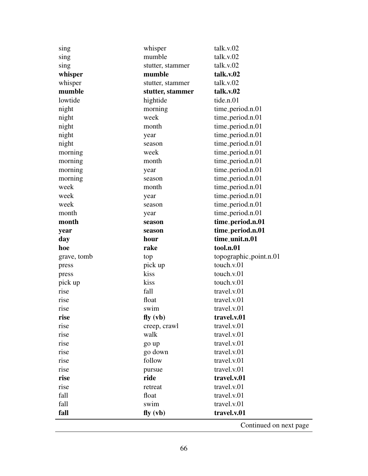| sing        | whisper          | talk.v.02              |
|-------------|------------------|------------------------|
| sing        | mumble           | talk.v.02              |
| sing        | stutter, stammer | talk.v.02              |
| whisper     | mumble           | talk.v.02              |
| whisper     | stutter, stammer | talk.v.02              |
| mumble      | stutter, stammer | talk.v.02              |
| lowtide     | hightide         | tide.n.01              |
| night       | morning          | time_period.n.01       |
| night       | week             | time_period.n.01       |
| night       | month            | time_period.n.01       |
| night       | year             | time_period.n.01       |
| night       | season           | time_period.n.01       |
| morning     | week             | time_period.n.01       |
| morning     | month            | time_period.n.01       |
| morning     | year             | time_period.n.01       |
| morning     | season           | time_period.n.01       |
| week        | month            | time_period.n.01       |
| week        | year             | time_period.n.01       |
| week        | season           | time_period.n.01       |
| month       | year             | time_period.n.01       |
| month       | season           | time_period.n.01       |
| year        | season           | time_period.n.01       |
|             |                  |                        |
| day         | hour             | time_unit.n.01         |
| hoe         | rake             | tool.n.01              |
| grave, tomb | top              | topographic_point.n.01 |
| press       | pick up          | touch.v.01             |
| press       | kiss             | touch.v.01             |
| pick up     | kiss             | touch.v.01             |
| rise        | fall             | travel.v.01            |
| rise        | float            | travel.v.01            |
| rise        | swim             | travel.v.01            |
| rise        | f(y)(vb)         | travel.v.01            |
| rise        | creep, crawl     | travel.v.01            |
| rise        | walk             | travel.v.01            |
| rise        | go up            | travel.v.01            |
| rise        | go down          | travel.v.01            |
| rise        | follow           | travel.v.01            |
| rise        | pursue           | travel.v.01            |
| rise        | ride             | travel.v.01            |
| rise        | retreat          | travel.v.01            |
| fall        | float            | travel.v.01            |
| fall        | swim             | travel.v.01            |
| fall        | fly (vb)         | travel.v.01            |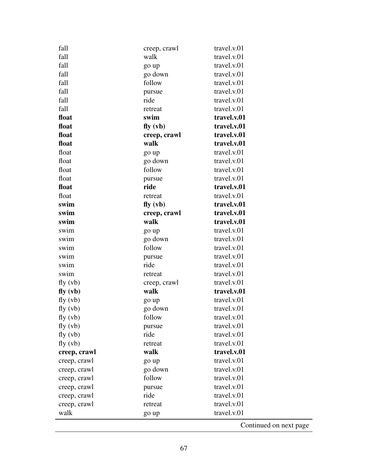| fall         | creep, crawl | travel.v.01            |
|--------------|--------------|------------------------|
| fall         | walk         | travel.v.01            |
| fall         | go up        | travel.v.01            |
| fall         | go down      | travel.v.01            |
| fall         | follow       | travel.v.01            |
| fall         | pursue       | travel.v.01            |
| fall         | ride         | travel.v.01            |
| fall         | retreat      | travel.v.01            |
| float        | swim         | travel.v.01            |
| float        | f(y)(vb)     | travel.v.01            |
| float        | creep, crawl | travel.v.01            |
| float        | walk         | travel.v.01            |
| float        | go up        | travel.v.01            |
| float        | go down      | travel.v.01            |
| float        | follow       | travel.v.01            |
| float        | pursue       | travel.v.01            |
| float        | ride         | travel.v.01            |
| float        | retreat      | travel.v.01            |
| swim         | f(y)(vb)     | travel.v.01            |
| swim         | creep, crawl | travel.v.01            |
| swim         | walk         | travel.v.01            |
| swim         | go up        | travel.v.01            |
| swim         | go down      | travel.v.01            |
| swim         | follow       | travel.v.01            |
| swim         | pursue       | travel.v.01            |
| swim         | ride         | travel.v.01            |
| swim         | retreat      | travel.v.01            |
| fly (vb)     | creep, crawl | travel.v.01            |
| f(y)(vb)     | walk         | travel.v.01            |
| fly (vb)     | go up        | travel.v.01            |
| fly (vb)     | go down      | travel.v.01            |
| fly (vb)     | follow       | travel.v.01            |
| fly (vb)     | pursue       | travel.v.01            |
| fly (vb)     | ride         | travel.v.01            |
| fly (vb)     | retreat      | travel.v.01            |
| creep, crawl | walk         | travel.v.01            |
| creep, crawl | go up        | travel.v.01            |
| creep, crawl | go down      | travel.v.01            |
| creep, crawl | follow       | travel.v.01            |
| creep, crawl | pursue       | travel.v.01            |
| creep, crawl | ride         | travel.v.01            |
| creep, crawl | retreat      | travel.v.01            |
| walk         | go up        | travel.v.01            |
|              |              | Continued on next page |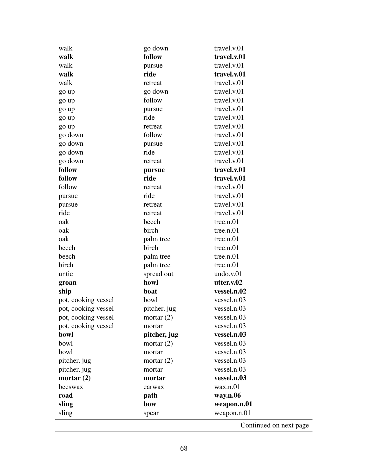| travel.v.01<br>follow<br>travel.v.01<br>pursue<br>travel.v.01<br>ride<br>travel.v.01<br>retreat<br>travel.v.01<br>go down<br>travel.v.01<br>follow<br>travel.v.01<br>pursue<br>travel.v.01<br>ride<br>travel.v.01<br>retreat<br>travel.v.01<br>follow<br>travel.v.01<br>pursue<br>travel.v.01<br>ride<br>travel.v.01<br>retreat<br>travel.v.01<br>pursue<br>travel.v.01<br>ride<br>travel.v.01<br>retreat<br>travel.v.01<br>ride<br>travel.v.01<br>retreat<br>travel.v.01<br>retreat<br>beech<br>tree.n.01<br>birch<br>tree.n.01<br>tree.n.01<br>palm tree<br>birch<br>tree.n.01<br>tree.n.01<br>palm tree<br>tree.n.01<br>palm tree<br>undo.v.01<br>spread out<br>howl<br>utter.v.02<br>vessel.n.02<br>boat<br>bowl<br>vessel.n.03<br>pot, cooking vessel<br>pot, cooking vessel<br>vessel.n.03<br>pitcher, jug<br>vessel.n.03<br>pot, cooking vessel<br>mortar $(2)$<br>pot, cooking vessel<br>vessel.n.03<br>mortar<br>vessel.n.03<br>bowl<br>pitcher, jug<br>vessel.n.03<br>bowl<br>mortar $(2)$<br>vessel.n.03<br>bowl<br>mortar<br>vessel.n.03<br>pitcher, jug<br>mortar $(2)$<br>vessel.n.03<br>pitcher, jug<br>mortar<br>vessel.n.03<br>mortar $(2)$<br>mortar<br>wax.n.01<br>beeswax<br>earwax<br>road<br>way.n.06<br>path<br>weapon.n.01<br>sling<br>bow | walk    | go down | travel.v.01 |
|--------------------------------------------------------------------------------------------------------------------------------------------------------------------------------------------------------------------------------------------------------------------------------------------------------------------------------------------------------------------------------------------------------------------------------------------------------------------------------------------------------------------------------------------------------------------------------------------------------------------------------------------------------------------------------------------------------------------------------------------------------------------------------------------------------------------------------------------------------------------------------------------------------------------------------------------------------------------------------------------------------------------------------------------------------------------------------------------------------------------------------------------------------------------------------------------------------------------------------------------------------------------|---------|---------|-------------|
|                                                                                                                                                                                                                                                                                                                                                                                                                                                                                                                                                                                                                                                                                                                                                                                                                                                                                                                                                                                                                                                                                                                                                                                                                                                                    | walk    |         |             |
|                                                                                                                                                                                                                                                                                                                                                                                                                                                                                                                                                                                                                                                                                                                                                                                                                                                                                                                                                                                                                                                                                                                                                                                                                                                                    | walk    |         |             |
|                                                                                                                                                                                                                                                                                                                                                                                                                                                                                                                                                                                                                                                                                                                                                                                                                                                                                                                                                                                                                                                                                                                                                                                                                                                                    | walk    |         |             |
|                                                                                                                                                                                                                                                                                                                                                                                                                                                                                                                                                                                                                                                                                                                                                                                                                                                                                                                                                                                                                                                                                                                                                                                                                                                                    | walk    |         |             |
|                                                                                                                                                                                                                                                                                                                                                                                                                                                                                                                                                                                                                                                                                                                                                                                                                                                                                                                                                                                                                                                                                                                                                                                                                                                                    | go up   |         |             |
|                                                                                                                                                                                                                                                                                                                                                                                                                                                                                                                                                                                                                                                                                                                                                                                                                                                                                                                                                                                                                                                                                                                                                                                                                                                                    | go up   |         |             |
|                                                                                                                                                                                                                                                                                                                                                                                                                                                                                                                                                                                                                                                                                                                                                                                                                                                                                                                                                                                                                                                                                                                                                                                                                                                                    | go up   |         |             |
|                                                                                                                                                                                                                                                                                                                                                                                                                                                                                                                                                                                                                                                                                                                                                                                                                                                                                                                                                                                                                                                                                                                                                                                                                                                                    | go up   |         |             |
|                                                                                                                                                                                                                                                                                                                                                                                                                                                                                                                                                                                                                                                                                                                                                                                                                                                                                                                                                                                                                                                                                                                                                                                                                                                                    | go up   |         |             |
|                                                                                                                                                                                                                                                                                                                                                                                                                                                                                                                                                                                                                                                                                                                                                                                                                                                                                                                                                                                                                                                                                                                                                                                                                                                                    | go down |         |             |
|                                                                                                                                                                                                                                                                                                                                                                                                                                                                                                                                                                                                                                                                                                                                                                                                                                                                                                                                                                                                                                                                                                                                                                                                                                                                    | go down |         |             |
|                                                                                                                                                                                                                                                                                                                                                                                                                                                                                                                                                                                                                                                                                                                                                                                                                                                                                                                                                                                                                                                                                                                                                                                                                                                                    | go down |         |             |
|                                                                                                                                                                                                                                                                                                                                                                                                                                                                                                                                                                                                                                                                                                                                                                                                                                                                                                                                                                                                                                                                                                                                                                                                                                                                    | go down |         |             |
|                                                                                                                                                                                                                                                                                                                                                                                                                                                                                                                                                                                                                                                                                                                                                                                                                                                                                                                                                                                                                                                                                                                                                                                                                                                                    | follow  |         |             |
|                                                                                                                                                                                                                                                                                                                                                                                                                                                                                                                                                                                                                                                                                                                                                                                                                                                                                                                                                                                                                                                                                                                                                                                                                                                                    | follow  |         |             |
|                                                                                                                                                                                                                                                                                                                                                                                                                                                                                                                                                                                                                                                                                                                                                                                                                                                                                                                                                                                                                                                                                                                                                                                                                                                                    | follow  |         |             |
|                                                                                                                                                                                                                                                                                                                                                                                                                                                                                                                                                                                                                                                                                                                                                                                                                                                                                                                                                                                                                                                                                                                                                                                                                                                                    | pursue  |         |             |
|                                                                                                                                                                                                                                                                                                                                                                                                                                                                                                                                                                                                                                                                                                                                                                                                                                                                                                                                                                                                                                                                                                                                                                                                                                                                    | pursue  |         |             |
|                                                                                                                                                                                                                                                                                                                                                                                                                                                                                                                                                                                                                                                                                                                                                                                                                                                                                                                                                                                                                                                                                                                                                                                                                                                                    | ride    |         |             |
|                                                                                                                                                                                                                                                                                                                                                                                                                                                                                                                                                                                                                                                                                                                                                                                                                                                                                                                                                                                                                                                                                                                                                                                                                                                                    | oak     |         |             |
|                                                                                                                                                                                                                                                                                                                                                                                                                                                                                                                                                                                                                                                                                                                                                                                                                                                                                                                                                                                                                                                                                                                                                                                                                                                                    | oak     |         |             |
|                                                                                                                                                                                                                                                                                                                                                                                                                                                                                                                                                                                                                                                                                                                                                                                                                                                                                                                                                                                                                                                                                                                                                                                                                                                                    | oak     |         |             |
|                                                                                                                                                                                                                                                                                                                                                                                                                                                                                                                                                                                                                                                                                                                                                                                                                                                                                                                                                                                                                                                                                                                                                                                                                                                                    | beech   |         |             |
|                                                                                                                                                                                                                                                                                                                                                                                                                                                                                                                                                                                                                                                                                                                                                                                                                                                                                                                                                                                                                                                                                                                                                                                                                                                                    | beech   |         |             |
|                                                                                                                                                                                                                                                                                                                                                                                                                                                                                                                                                                                                                                                                                                                                                                                                                                                                                                                                                                                                                                                                                                                                                                                                                                                                    | birch   |         |             |
|                                                                                                                                                                                                                                                                                                                                                                                                                                                                                                                                                                                                                                                                                                                                                                                                                                                                                                                                                                                                                                                                                                                                                                                                                                                                    | untie   |         |             |
|                                                                                                                                                                                                                                                                                                                                                                                                                                                                                                                                                                                                                                                                                                                                                                                                                                                                                                                                                                                                                                                                                                                                                                                                                                                                    | groan   |         |             |
|                                                                                                                                                                                                                                                                                                                                                                                                                                                                                                                                                                                                                                                                                                                                                                                                                                                                                                                                                                                                                                                                                                                                                                                                                                                                    | ship    |         |             |
|                                                                                                                                                                                                                                                                                                                                                                                                                                                                                                                                                                                                                                                                                                                                                                                                                                                                                                                                                                                                                                                                                                                                                                                                                                                                    |         |         |             |
|                                                                                                                                                                                                                                                                                                                                                                                                                                                                                                                                                                                                                                                                                                                                                                                                                                                                                                                                                                                                                                                                                                                                                                                                                                                                    |         |         |             |
|                                                                                                                                                                                                                                                                                                                                                                                                                                                                                                                                                                                                                                                                                                                                                                                                                                                                                                                                                                                                                                                                                                                                                                                                                                                                    |         |         |             |
|                                                                                                                                                                                                                                                                                                                                                                                                                                                                                                                                                                                                                                                                                                                                                                                                                                                                                                                                                                                                                                                                                                                                                                                                                                                                    |         |         |             |
|                                                                                                                                                                                                                                                                                                                                                                                                                                                                                                                                                                                                                                                                                                                                                                                                                                                                                                                                                                                                                                                                                                                                                                                                                                                                    |         |         |             |
|                                                                                                                                                                                                                                                                                                                                                                                                                                                                                                                                                                                                                                                                                                                                                                                                                                                                                                                                                                                                                                                                                                                                                                                                                                                                    |         |         |             |
|                                                                                                                                                                                                                                                                                                                                                                                                                                                                                                                                                                                                                                                                                                                                                                                                                                                                                                                                                                                                                                                                                                                                                                                                                                                                    |         |         |             |
|                                                                                                                                                                                                                                                                                                                                                                                                                                                                                                                                                                                                                                                                                                                                                                                                                                                                                                                                                                                                                                                                                                                                                                                                                                                                    |         |         |             |
|                                                                                                                                                                                                                                                                                                                                                                                                                                                                                                                                                                                                                                                                                                                                                                                                                                                                                                                                                                                                                                                                                                                                                                                                                                                                    |         |         |             |
|                                                                                                                                                                                                                                                                                                                                                                                                                                                                                                                                                                                                                                                                                                                                                                                                                                                                                                                                                                                                                                                                                                                                                                                                                                                                    |         |         |             |
|                                                                                                                                                                                                                                                                                                                                                                                                                                                                                                                                                                                                                                                                                                                                                                                                                                                                                                                                                                                                                                                                                                                                                                                                                                                                    |         |         |             |
|                                                                                                                                                                                                                                                                                                                                                                                                                                                                                                                                                                                                                                                                                                                                                                                                                                                                                                                                                                                                                                                                                                                                                                                                                                                                    |         |         |             |
|                                                                                                                                                                                                                                                                                                                                                                                                                                                                                                                                                                                                                                                                                                                                                                                                                                                                                                                                                                                                                                                                                                                                                                                                                                                                    |         |         |             |
| weapon.n.01<br>sling<br>spear                                                                                                                                                                                                                                                                                                                                                                                                                                                                                                                                                                                                                                                                                                                                                                                                                                                                                                                                                                                                                                                                                                                                                                                                                                      |         |         |             |

 $\overline{a}$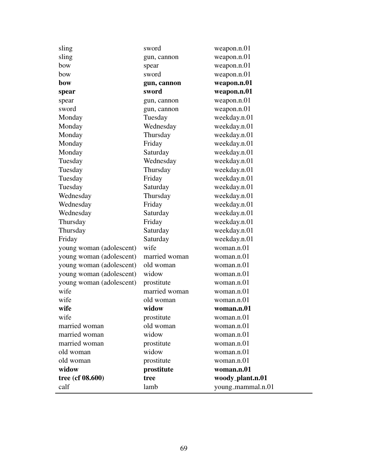| sling                    | sword         | weapon.n.01       |
|--------------------------|---------------|-------------------|
| sling                    | gun, cannon   | weapon.n.01       |
| bow                      | spear         | weapon.n.01       |
| bow                      | sword         | weapon.n.01       |
| bow                      | gun, cannon   | weapon.n.01       |
| spear                    | sword         | weapon.n.01       |
| spear                    | gun, cannon   | weapon.n.01       |
| sword                    | gun, cannon   | weapon.n.01       |
| Monday                   | Tuesday       | weekday.n.01      |
| Monday                   | Wednesday     | weekday.n.01      |
| Monday                   | Thursday      | weekday.n.01      |
| Monday                   | Friday        | weekday.n.01      |
| Monday                   | Saturday      | weekday.n.01      |
| Tuesday                  | Wednesday     | weekday.n.01      |
| Tuesday                  | Thursday      | weekday.n.01      |
| Tuesday                  | Friday        | weekday.n.01      |
| Tuesday                  | Saturday      | weekday.n.01      |
| Wednesday                | Thursday      | weekday.n.01      |
| Wednesday                | Friday        | weekday.n.01      |
| Wednesday                | Saturday      | weekday.n.01      |
| Thursday                 | Friday        | weekday.n.01      |
| Thursday                 | Saturday      | weekday.n.01      |
| Friday                   | Saturday      | weekday.n.01      |
| young woman (adolescent) | wife          | woman.n.01        |
| young woman (adolescent) | married woman | woman.n.01        |
| young woman (adolescent) | old woman     | woman.n.01        |
| young woman (adolescent) | widow         | woman.n.01        |
| young woman (adolescent) | prostitute    | woman.n.01        |
| wife                     | married woman | woman.n.01        |
| wife                     | old woman     | woman.n.01        |
| wife                     | widow         | woman.n.01        |
| wife                     | prostitute    | woman.n.01        |
| married woman            | old woman     | woman.n.01        |
| married woman            | widow         | woman.n.01        |
| married woman            | prostitute    | woman.n.01        |
| old woman                | widow         | woman.n.01        |
| old woman                | prostitute    | woman.n.01        |
| widow                    | prostitute    | woman.n.01        |
| tree (cf 08.600)         | tree          | woody_plant.n.01  |
| calf                     | lamb          | young_mammal.n.01 |